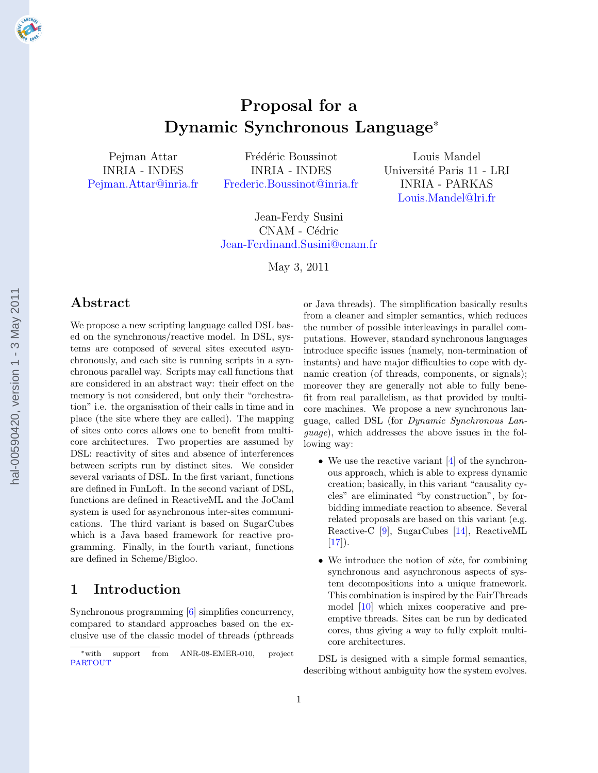# Proposal for a Dynamic Synchronous Language<sup>∗</sup>

<span id="page-0-0"></span>Pejman Attar INRIA - INDES [Pejman.Attar@inria.fr](mailto:Pejman.Attar@inria.fr)

Frédéric Boussinot INRIA - INDES [Frederic.Boussinot@inria.fr](mailto:Frederic.Boussinot@inria.fr)

Louis Mandel Université Paris 11 - LRI INRIA - PARKAS [Louis.Mandel@lri.fr](mailto:Louis.Mandel@lri.fr)

Jean-Ferdy Susini CNAM - Cédric [Jean-Ferdinand.Susini@cnam.fr](mailto:Jean-Ferdinand.Susini@cnam.fr)

May 3, 2011

# Abstract

We propose a new scripting language called DSL based on the synchronous/reactive model. In DSL, systems are composed of several sites executed asynchronously, and each site is running scripts in a synchronous parallel way. Scripts may call functions that are considered in an abstract way: their effect on the memory is not considered, but only their "orchestration" i.e. the organisation of their calls in time and in place (the site where they are called). The mapping of sites onto cores allows one to benefit from multicore architectures. Two properties are assumed by DSL: reactivity of sites and absence of interferences between scripts run by distinct sites. We consider several variants of DSL. In the first variant, functions are defined in FunLoft. In the second variant of DSL, functions are defined in ReactiveML and the JoCaml system is used for asynchronous inter-sites communications. The third variant is based on SugarCubes which is a Java based framework for reactive programming. Finally, in the fourth variant, functions are defined in Scheme/Bigloo.

# 1 Introduction

Synchronous programming [\[6\]](#page-19-0) simplifies concurrency, compared to standard approaches based on the exclusive use of the classic model of threads (pthreads or Java threads). The simplification basically results from a cleaner and simpler semantics, which reduces the number of possible interleavings in parallel computations. However, standard synchronous languages introduce specific issues (namely, non-termination of instants) and have major difficulties to cope with dynamic creation (of threads, components, or signals); moreover they are generally not able to fully benefit from real parallelism, as that provided by multicore machines. We propose a new synchronous language, called DSL (for Dynamic Synchronous Language), which addresses the above issues in the following way:

- We use the reactive variant [\[4\]](#page-19-0) of the synchronous approach, which is able to express dynamic creation; basically, in this variant "causality cycles" are eliminated "by construction", by forbidding immediate reaction to absence. Several related proposals are based on this variant (e.g. Reactive-C [\[9\]](#page-19-0), SugarCubes [\[14\]](#page-20-0), ReactiveML  $[17]$ .
- We introduce the notion of *site*, for combining synchronous and asynchronous aspects of system decompositions into a unique framework. This combination is inspired by the FairThreads model [\[10\]](#page-19-0) which mixes cooperative and preemptive threads. Sites can be run by dedicated cores, thus giving a way to fully exploit multicore architectures.

DSL is designed with a simple formal semantics, describing without ambiguity how the system evolves.

<sup>∗</sup>with support from ANR-08-EMER-010, project [PARTOUT](http://www-sop.inria.fr/indes/PARTOUT)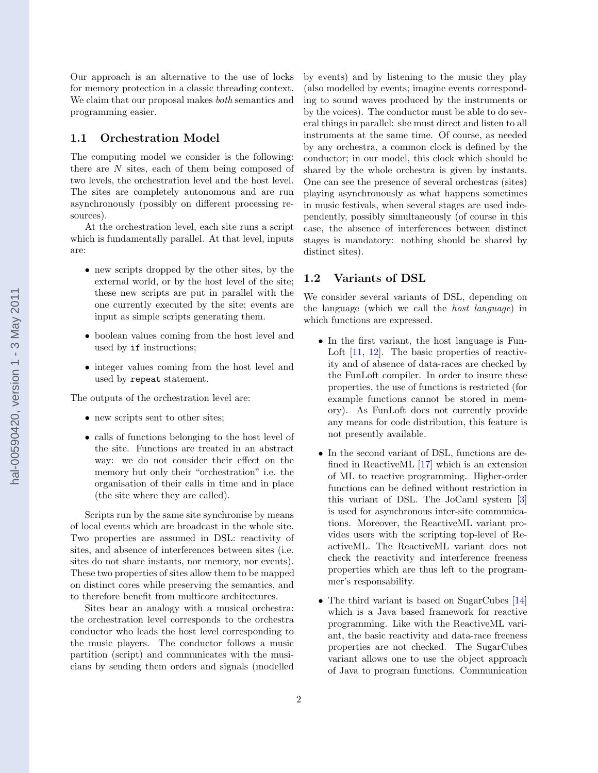<span id="page-1-0"></span>Our approach is an alternative to the use of locks for memory protection in a classic threading context. We claim that our proposal makes *both* semantics and programming easier.

#### 1.1 Orchestration Model

The computing model we consider is the following: there are N sites, each of them being composed of two levels, the orchestration level and the host level. The sites are completely autonomous and are run asynchronously (possibly on different processing resources).

At the orchestration level, each site runs a script which is fundamentally parallel. At that level, inputs are:

- new scripts dropped by the other sites, by the external world, or by the host level of the site; these new scripts are put in parallel with the one currently executed by the site; events are input as simple scripts generating them.
- boolean values coming from the host level and used by if instructions;
- integer values coming from the host level and used by repeat statement.

The outputs of the orchestration level are:

- new scripts sent to other sites;
- calls of functions belonging to the host level of the site. Functions are treated in an abstract way: we do not consider their effect on the memory but only their "orchestration" i.e. the organisation of their calls in time and in place (the site where they are called).

Scripts run by the same site synchronise by means of local events which are broadcast in the whole site. Two properties are assumed in DSL: reactivity of sites, and absence of interferences between sites (i.e. sites do not share instants, nor memory, nor events). These two properties of sites allow them to be mapped on distinct cores while preserving the semantics, and to therefore benefit from multicore architectures.

Sites bear an analogy with a musical orchestra: the orchestration level corresponds to the orchestra conductor who leads the host level corresponding to the music players. The conductor follows a music partition (script) and communicates with the musicians by sending them orders and signals (modelled

by events) and by listening to the music they play (also modelled by events; imagine events corresponding to sound waves produced by the instruments or by the voices). The conductor must be able to do several things in parallel: she must direct and listen to all instruments at the same time. Of course, as needed by any orchestra, a common clock is defined by the conductor; in our model, this clock which should be shared by the whole orchestra is given by instants. One can see the presence of several orchestras (sites) playing asynchronously as what happens sometimes in music festivals, when several stages are used independently, possibly simultaneously (of course in this case, the absence of interferences between distinct stages is mandatory: nothing should be shared by distinct sites).

#### 1.2 Variants of DSL

We consider several variants of DSL, depending on the language (which we call the host language) in which functions are expressed.

- In the first variant, the host language is Fun-Loft [\[11,](#page-19-0) [12\]](#page-19-0). The basic properties of reactivity and of absence of data-races are checked by the FunLoft compiler. In order to insure these properties, the use of functions is restricted (for example functions cannot be stored in memory). As FunLoft does not currently provide any means for code distribution, this feature is not presently available.
- In the second variant of DSL, functions are defined in ReactiveML [\[17\]](#page-20-0) which is an extension of ML to reactive programming. Higher-order functions can be defined without restriction in this variant of DSL. The JoCaml system [\[3\]](#page-19-0) is used for asynchronous inter-site communications. Moreover, the ReactiveML variant provides users with the scripting top-level of ReactiveML. The ReactiveML variant does not check the reactivity and interference freeness properties which are thus left to the programmer's responsability.
- The third variant is based on SugarCubes [\[14\]](#page-20-0) which is a Java based framework for reactive programming. Like with the ReactiveML variant, the basic reactivity and data-race freeness properties are not checked. The SugarCubes variant allows one to use the object approach of Java to program functions. Communication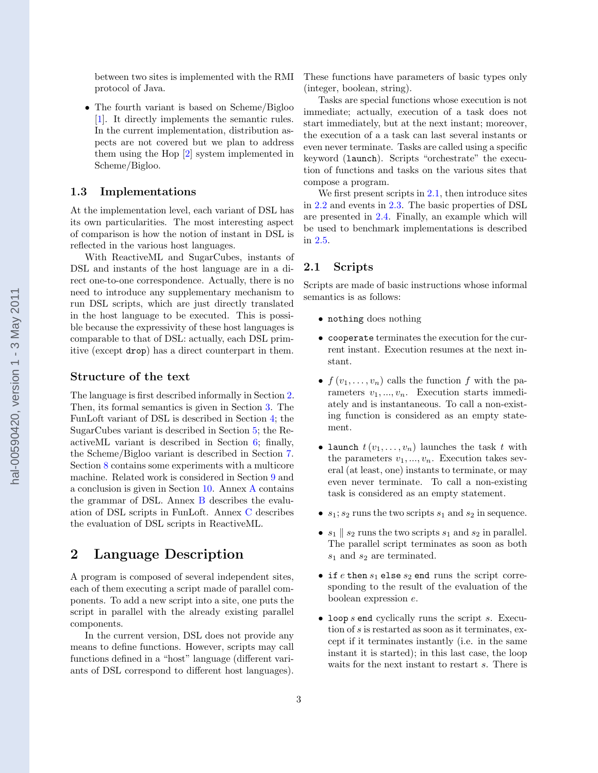<span id="page-2-0"></span>between two sites is implemented with the RMI protocol of Java.

• The fourth variant is based on Scheme/Bigloo [\[1\]](#page-19-0). It directly implements the semantic rules. In the current implementation, distribution aspects are not covered but we plan to address them using the Hop [\[2\]](#page-19-0) system implemented in Scheme/Bigloo.

#### 1.3 Implementations

At the implementation level, each variant of DSL has its own particularities. The most interesting aspect of comparison is how the notion of instant in DSL is reflected in the various host languages.

With ReactiveML and SugarCubes, instants of DSL and instants of the host language are in a direct one-to-one correspondence. Actually, there is no need to introduce any supplementary mechanism to run DSL scripts, which are just directly translated in the host language to be executed. This is possible because the expressivity of these host languages is comparable to that of DSL: actually, each DSL primitive (except drop) has a direct counterpart in them.

## Structure of the text

The language is first described informally in Section 2. Then, its formal semantics is given in Section [3.](#page-4-0) The FunLoft variant of DSL is described in Section [4;](#page-9-0) the SugarCubes variant is described in Section [5;](#page-13-0) the ReactiveML variant is described in Section [6;](#page-14-0) finally, the Scheme/Bigloo variant is described in Section [7.](#page-15-0) Section [8](#page-16-0) contains some experiments with a multicore machine. Related work is considered in Section [9](#page-18-0) and a conclusion is given in Section [10.](#page-19-0) Annex [A](#page-20-0) contains the grammar of DSL. Annex [B](#page-20-0) describes the evaluation of DSL scripts in FunLoft. Annex [C](#page-23-0) describes the evaluation of DSL scripts in ReactiveML.

# 2 Language Description

A program is composed of several independent sites, each of them executing a script made of parallel components. To add a new script into a site, one puts the script in parallel with the already existing parallel components.

In the current version, DSL does not provide any means to define functions. However, scripts may call functions defined in a "host" language (different variants of DSL correspond to different host languages). These functions have parameters of basic types only (integer, boolean, string).

Tasks are special functions whose execution is not immediate; actually, execution of a task does not start immediately, but at the next instant; moreover, the execution of a a task can last several instants or even never terminate. Tasks are called using a specific keyword (launch). Scripts "orchestrate" the execution of functions and tasks on the various sites that compose a program.

We first present scripts in  $2.1$ , then introduce sites in [2.2](#page-3-0) and events in [2.3.](#page-3-0) The basic properties of DSL are presented in [2.4.](#page-3-0) Finally, an example which will be used to benchmark implementations is described in [2.5.](#page-3-0)

#### 2.1 Scripts

Scripts are made of basic instructions whose informal semantics is as follows:

- nothing does nothing
- cooperate terminates the execution for the current instant. Execution resumes at the next instant.
- $f(v_1,\ldots,v_n)$  calls the function f with the parameters  $v_1, ..., v_n$ . Execution starts immediately and is instantaneous. To call a non-existing function is considered as an empty statement.
- launch  $t(v_1, \ldots, v_n)$  launches the task t with the parameters  $v_1, ..., v_n$ . Execution takes several (at least, one) instants to terminate, or may even never terminate. To call a non-existing task is considered as an empty statement.
- $s_1$ ;  $s_2$  runs the two scripts  $s_1$  and  $s_2$  in sequence.
- $s_1 \parallel s_2$  runs the two scripts  $s_1$  and  $s_2$  in parallel. The parallel script terminates as soon as both  $s_1$  and  $s_2$  are terminated.
- if  $e$  then  $s_1$  else  $s_2$  end runs the script corresponding to the result of the evaluation of the boolean expression e.
- loop  $s$  end cyclically runs the script  $s$ . Execution of s is restarted as soon as it terminates, except if it terminates instantly (i.e. in the same instant it is started); in this last case, the loop waits for the next instant to restart s. There is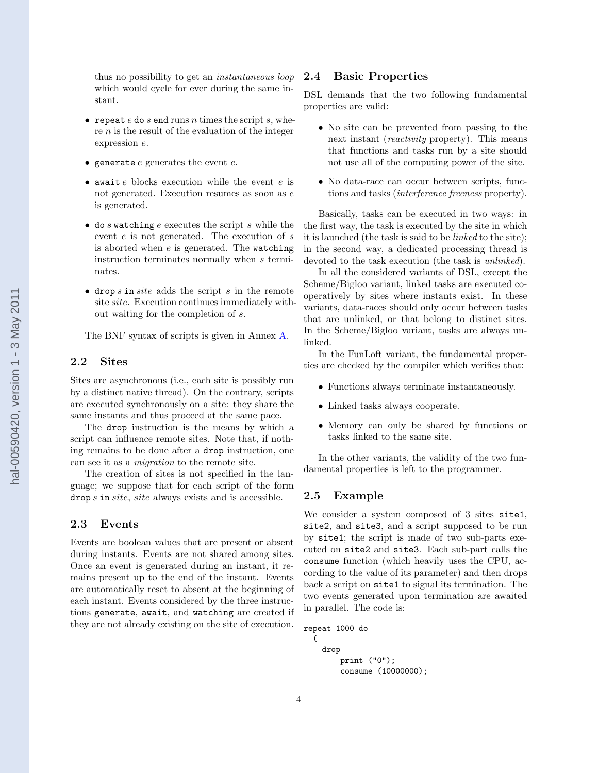<span id="page-3-0"></span>thus no possibility to get an instantaneous loop which would cycle for ever during the same instant.

- repeat  $e$  do  $s$  end runs  $n$  times the script  $s$ , where  $n$  is the result of the evaluation of the integer expression e.
- generate  $e$  generates the event  $e$ .
- await  $e$  blocks execution while the event  $e$  is not generated. Execution resumes as soon as e is generated.
- $\bullet$  do *s* watching *e* executes the script *s* while the event  $e$  is not generated. The execution of  $s$ is aborted when  $e$  is generated. The watching instruction terminates normally when s terminates.
- drop s in site adds the script s in the remote site site. Execution continues immediately without waiting for the completion of s.

The BNF syntax of scripts is given in Annex [A.](#page-20-0)

## 2.2 Sites

Sites are asynchronous (i.e., each site is possibly run by a distinct native thread). On the contrary, scripts are executed synchronously on a site: they share the same instants and thus proceed at the same pace.

The drop instruction is the means by which a script can influence remote sites. Note that, if nothing remains to be done after a drop instruction, one can see it as a migration to the remote site.

The creation of sites is not specified in the language; we suppose that for each script of the form drop s in site, site always exists and is accessible.

## 2.3 Events

Events are boolean values that are present or absent during instants. Events are not shared among sites. Once an event is generated during an instant, it remains present up to the end of the instant. Events are automatically reset to absent at the beginning of each instant. Events considered by the three instructions generate, await, and watching are created if they are not already existing on the site of execution.

#### 2.4 Basic Properties

DSL demands that the two following fundamental properties are valid:

- No site can be prevented from passing to the next instant *(reactivity* property). This means that functions and tasks run by a site should not use all of the computing power of the site.
- No data-race can occur between scripts, functions and tasks (interference freeness property).

Basically, tasks can be executed in two ways: in the first way, the task is executed by the site in which it is launched (the task is said to be linked to the site); in the second way, a dedicated processing thread is devoted to the task execution (the task is *unlinked*).

In all the considered variants of DSL, except the Scheme/Bigloo variant, linked tasks are executed cooperatively by sites where instants exist. In these variants, data-races should only occur between tasks that are unlinked, or that belong to distinct sites. In the Scheme/Bigloo variant, tasks are always unlinked.

In the FunLoft variant, the fundamental properties are checked by the compiler which verifies that:

- Functions always terminate instantaneously.
- Linked tasks always cooperate.
- Memory can only be shared by functions or tasks linked to the same site.

In the other variants, the validity of the two fundamental properties is left to the programmer.

#### 2.5 Example

We consider a system composed of 3 sites site1, site2, and site3, and a script supposed to be run by site1; the script is made of two sub-parts executed on site2 and site3. Each sub-part calls the consume function (which heavily uses the CPU, according to the value of its parameter) and then drops back a script on site1 to signal its termination. The two events generated upon termination are awaited in parallel. The code is:

```
repeat 1000 do
  (
    drop
        print ("0");
        consume (10000000);
```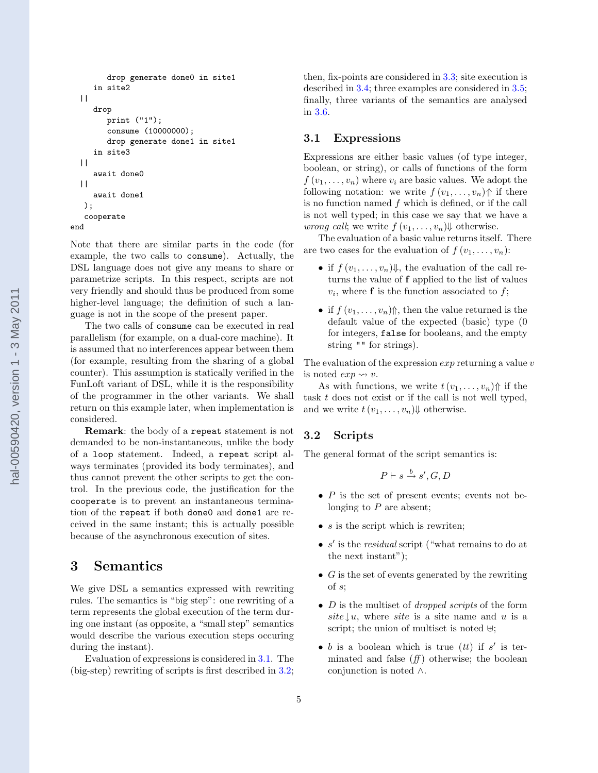```
drop generate done0 in site1
   in site2
| \ |drop
      print ("1");
      consume (10000000);
      drop generate done1 in site1
   in site3
| \ |await done0
||await done1
 );
 cooperate
```
end

Note that there are similar parts in the code (for example, the two calls to consume). Actually, the DSL language does not give any means to share or parametrize scripts. In this respect, scripts are not very friendly and should thus be produced from some higher-level language; the definition of such a language is not in the scope of the present paper.

The two calls of consume can be executed in real parallelism (for example, on a dual-core machine). It is assumed that no interferences appear between them (for example, resulting from the sharing of a global counter). This assumption is statically verified in the FunLoft variant of DSL, while it is the responsibility of the programmer in the other variants. We shall return on this example later, when implementation is considered.

Remark: the body of a repeat statement is not demanded to be non-instantaneous, unlike the body of a loop statement. Indeed, a repeat script always terminates (provided its body terminates), and thus cannot prevent the other scripts to get the control. In the previous code, the justification for the cooperate is to prevent an instantaneous termination of the repeat if both done0 and done1 are received in the same instant; this is actually possible because of the asynchronous execution of sites.

# 3 Semantics

We give DSL a semantics expressed with rewriting rules. The semantics is "big step": one rewriting of a term represents the global execution of the term during one instant (as opposite, a "small step" semantics would describe the various execution steps occuring during the instant).

Evaluation of expressions is considered in 3.1. The (big-step) rewriting of scripts is first described in 3.2;

then, fix-points are considered in [3.3;](#page-6-0) site execution is described in [3.4;](#page-6-0) three examples are considered in [3.5;](#page-7-0) finally, three variants of the semantics are analysed in [3.6.](#page-8-0)

#### 3.1 Expressions

Expressions are either basic values (of type integer, boolean, or string), or calls of functions of the form  $f(v_1, \ldots, v_n)$  where  $v_i$  are basic values. We adopt the following notation: we write  $f(v_1, \ldots, v_n)$  f if there is no function named  $f$  which is defined, or if the call is not well typed; in this case we say that we have a *wrong call*; we write  $f(v_1, \ldots, v_n)$  otherwise.

The evaluation of a basic value returns itself. There are two cases for the evaluation of  $f(v_1, \ldots, v_n)$ :

- if  $f(v_1,\ldots,v_n)\Downarrow$ , the evaluation of the call returns the value of f applied to the list of values  $v_i$ , where **f** is the function associated to  $f$ ;
- if  $f(v_1,\ldots,v_n)$  then the value returned is the default value of the expected (basic) type (0 for integers, false for booleans, and the empty string "" for strings).

The evaluation of the expression  $\exp$  returning a value v is noted  $\exp \rightsquigarrow v$ .

As with functions, we write  $t(v_1, \ldots, v_n)$  f if the task t does not exist or if the call is not well typed, and we write  $t(v_1, \ldots, v_n)$  otherwise.

## 3.2 Scripts

The general format of the script semantics is:

$$
P \vdash s \xrightarrow{b} s', G, D
$$

- $P$  is the set of present events; events not belonging to P are absent;
- $s$  is the script which is rewriten;
- $\bullet$  s' is the *residual* script ("what remains to do at the next instant");
- $\bullet$  G is the set of events generated by the rewriting of s;
- $D$  is the multiset of *dropped scripts* of the form site  $\downarrow u$ , where site is a site name and u is a script; the union of multiset is noted  $\uplus$ ;
- b is a boolean which is true  $(tt)$  if s' is terminated and false  $(f\!f)$  otherwise; the boolean conjunction is noted ∧.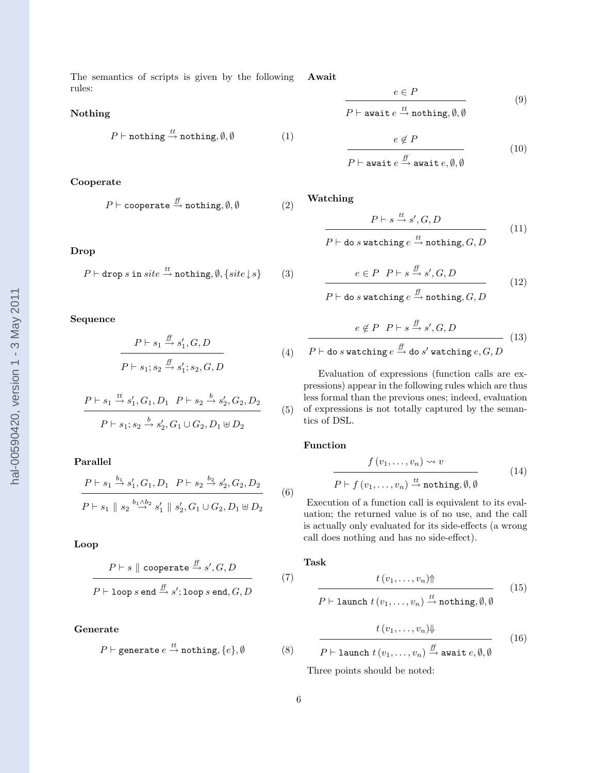<span id="page-5-0"></span>The semantics of scripts is given by the following rules: Await

## Nothing

$$
P \vdash \texttt{nothing} \stackrel{\mathit{tt}}{\rightarrow} \texttt{nothing}, \emptyset, \emptyset \tag{1}
$$

#### Cooperate

$$
P \vdash \texttt{cooperate} \stackrel{\textit{ff}}{\rightarrow} \texttt{nothing}, \emptyset, \emptyset \qquad \qquad (2)
$$

#### Drop

$$
P \vdash \text{drop } s \text{ in } site \stackrel{tt}{\rightarrow} \text{nothing, } \emptyset, \{ site \downarrow s \} \tag{3}
$$

#### Sequence

$$
\frac{P \vdash s_1 \xrightarrow{ff} s'_1, G, D}{P \vdash s_1; s_2 \xrightarrow{ff} s'_1; s_2, G, D} \tag{4}
$$

$$
\frac{P \vdash s_1 \stackrel{tt}{\to} s'_1, G_1, D_1 \quad P \vdash s_2 \stackrel{b}{\to} s'_2, G_2, D_2}{P \vdash s_1; s_2 \stackrel{b}{\to} s'_2, G_1 \cup G_2, D_1 \uplus D_2} \tag{5}
$$

Parallel

$$
\frac{P \vdash s_1 \stackrel{b_1}{\to} s'_1, G_1, D_1 \quad P \vdash s_2 \stackrel{b_2}{\to} s'_2, G_2, D_2}{P \vdash s_1 \parallel s_2 \stackrel{b_1 \wedge b_2}{\to} s'_1 \parallel s'_2, G_1 \cup G_2, D_1 \uplus D_2} \tag{6}
$$

Loop

$$
\frac{P \vdash s \parallel \text{cooperate} \xrightarrow{f'} s', G, D}{P \vdash \text{loop } s \text{ end} \xrightarrow{f'} s'; \text{loop } s \text{ end}, G, D}
$$
(7)

#### Generate

$$
P \vdash \texttt{generate } e \xrightarrow{tt} \texttt{nothing}, \{e\}, \emptyset \qquad \qquad (8)
$$

 $e \in P$ 

 $P \vdash \texttt{await}~e \overset{tt}{\rightarrow} \texttt{nothing}, \emptyset, \emptyset$ 

$$
\frac{e \notin P}{P \vdash \text{await } e \xrightarrow{ff} \text{await } e, \emptyset, \emptyset}
$$
 (10)

(9)

Watching

$$
P \vdash s \stackrel{tt}{\to} s', G, D
$$
  

$$
P \vdash \text{do } s \text{ watching } e \stackrel{tt}{\to} \text{nothing, } G, D
$$
 (11)

$$
e \in P \quad P \vdash s \xrightarrow{f\!f} s', G, D
$$
  
 
$$
P \vdash \text{do } s \text{ watching } e \xrightarrow{f\!f} \text{nothing, } G, D
$$
 (12)

$$
e \notin P \quad P \vdash s \xrightarrow{ff} s', G, D
$$
  
 
$$
P \vdash \text{do } s \text{ watching } e \xrightarrow{ff} \text{do } s' \text{ watching } e, G, D
$$
 (13)

Evaluation of expressions (function calls are expressions) appear in the following rules which are thus less formal than the previous ones; indeed, evaluation of expressions is not totally captured by the semantics of DSL.

#### Function

$$
\frac{f(v_1,\ldots,v_n) \rightsquigarrow v}{P \vdash f(v_1,\ldots,v_n) \stackrel{tt}{\rightarrow} \text{nothing, } \emptyset, \emptyset}
$$
(14)

Execution of a function call is equivalent to its evaluation; the returned value is of no use, and the call is actually only evaluated for its side-effects (a wrong call does nothing and has no side-effect).

Task

$$
\frac{t(v_1, \ldots, v_n)\mathcal{m}}{P \vdash \text{Iaunch } t(v_1, \ldots, v_n) \xrightarrow{tt} \text{nothing}, \emptyset, \emptyset}
$$
\n
$$
t(v_1, \ldots, v_n)\Downarrow
$$
\n
$$
\xrightarrow{r} \qquad (16)
$$

$$
P \vdash \mathtt{launch}\; t\left(v_1,\ldots,v_n\right) \xrightarrow{f\!f} \mathtt{await}\; e, \emptyset, \emptyset
$$

Three points should be noted: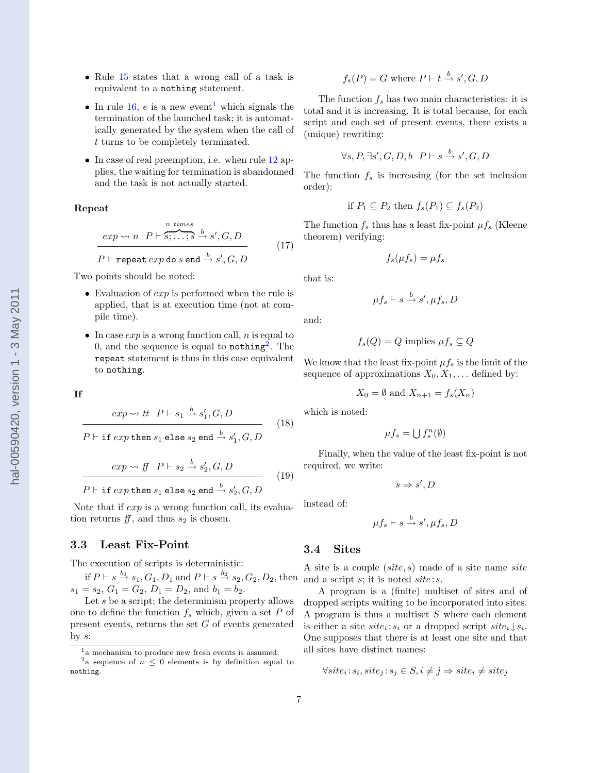- <span id="page-6-0"></span>• Rule [15](#page-5-0) states that a wrong call of a task is equivalent to a nothing statement.
- In rule [16,](#page-5-0)  $e$  is a new event<sup>1</sup> which signals the termination of the launched task; it is automatically generated by the system when the call of t turns to be completely terminated.
- In case of real preemption, i.e. when rule [12](#page-5-0) applies, the waiting for termination is abandonned and the task is not actually started.

#### Repeat

$$
\frac{exp \leadsto n \quad P \vdash s; \dots; s \xrightarrow{b} s', G, D}{P \vdash \text{repeat } exp \text{ do } s \text{ end } \xrightarrow{b} s', G, D}
$$
(17)

Two points should be noted:

- Evaluation of  $exp$  is performed when the rule is applied, that is at execution time (not at compile time).
- In case  $exp$  is a wrong function call, n is equal to 0, and the sequence is equal to  $nothing<sup>2</sup>$ . The repeat statement is thus in this case equivalent to nothing.

If

$$
exp \rightsquigarrow tt \quad P \vdash s_1 \xrightarrow{b} s'_1, G, D \tag{18}
$$

$$
P \vdash \texttt{if}~exp~\texttt{then}~s_1~\texttt{else}~s_2~\texttt{end} \xrightarrow{b} s_1', G, D
$$

$$
exp \rightsquigarrow ff \quad P \vdash s_2 \xrightarrow{b} s'_2, G, D \tag{19}
$$

 $P \vdash \mathtt{if}~exp~\mathtt{then}~ s_1$  else  $s_2$  end  $\stackrel{b}{\rightarrow} s_2', G, D$ 

Note that if exp is a wrong function call, its evaluation returns  $ff$ , and thus  $s_2$  is chosen.

## 3.3 Least Fix-Point

The execution of scripts is deterministic:

if  $P \vdash s \stackrel{b_1}{\to} s_1, G_1, D_1$  and  $P \vdash s \stackrel{b_2}{\to} s_2, G_2, D_2$ , then  $s_1 = s_2, G_1 = G_2, D_1 = D_2, \text{ and } b_1 = b_2.$ 

Let  $s$  be a script; the determinism property allows one to define the function  $f_s$  which, given a set P of present events, returns the set  $G$  of events generated by  $s$ :

$$
f_s(P) = G \text{ where } P \vdash t \stackrel{b}{\to} s', G, D
$$

The function  $f_s$  has two main characteristics: it is total and it is increasing. It is total because, for each script and each set of present events, there exists a (unique) rewriting:

$$
\forall s, P, \exists s', G, D, b \quad P \vdash s \xrightarrow{b} s', G, D
$$

The function  $f_s$  is increasing (for the set inclusion order):

if 
$$
P_1 \subseteq P_2
$$
 then  $f_s(P_1) \subseteq f_s(P_2)$ 

The function  $f_s$  thus has a least fix-point  $\mu f_s$  (Kleene theorem) verifying:

$$
f_s(\mu f_s) = \mu f_s
$$

that is:

$$
\mu f_s \vdash s \xrightarrow{b} s', \mu f_s, D
$$

and:

$$
f_s(Q) = Q \text{ implies } \mu f_s \subseteq Q
$$

We know that the least fix-point  $\mu f_s$  is the limit of the sequence of approximations  $X_0, X_1, \ldots$  defined by:

$$
X_0 = \emptyset \text{ and } X_{n+1} = f_s(X_n)
$$

which is noted:

$$
\mu f_s = \bigcup f_s^n(\emptyset)
$$

Finally, when the value of the least fix-point is not required, we write:

 $s \Rightarrow s', D$ 

instead of:

$$
\mu f_s \vdash s \xrightarrow{b} s', \mu f_s, D
$$

#### 3.4 Sites

A site is a couple  $(site, s)$  made of a site name site and a script  $s$ ; it is noted  $site:s$ .

A program is a (finite) multiset of sites and of dropped scripts waiting to be incorporated into sites. A program is thus a multiset  $S$  where each element is either a site  $site_i$ :  $s_i$  or a dropped script  $site_i \downarrow s_i$ . One supposes that there is at least one site and that all sites have distinct names:

$$
\forall site_i : s_i, site_j : s_j \in S, i \neq j \Rightarrow site_i \neq site_j
$$

<sup>&</sup>lt;sup>1</sup>a mechanism to produce new fresh events is assumed.

<sup>&</sup>lt;sup>2</sup>a sequence of  $n \leq 0$  elements is by definition equal to nothing.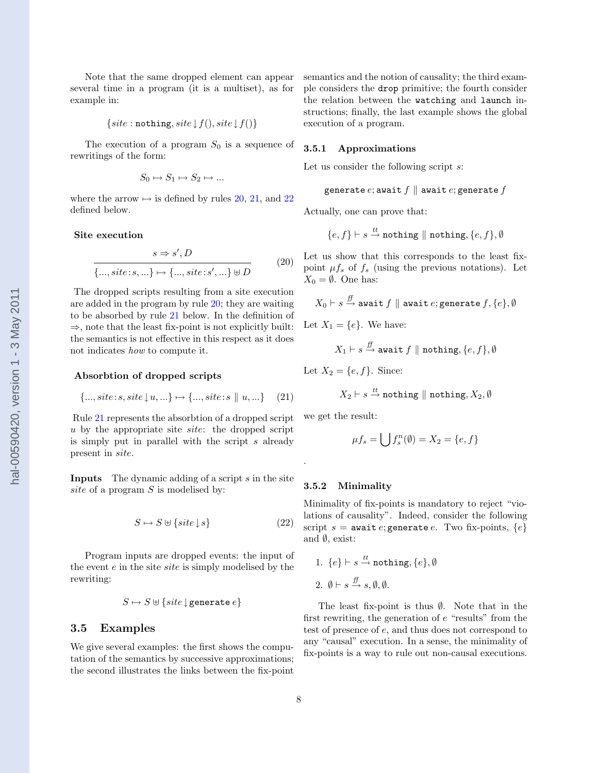<span id="page-7-0"></span>Note that the same dropped element can appear several time in a program (it is a multiset), as for example in:

$$
\{site: {\tt nothing}, site \downarrow f(), site \downarrow f()\}
$$

The execution of a program  $S_0$  is a sequence of rewritings of the form:

$$
S_0 \mapsto S_1 \mapsto S_2 \mapsto \dots
$$

where the arrow  $\mapsto$  is defined by rules 20, 21, and 22 defined below.

#### Site execution

$$
s \Rightarrow s', D
$$
  

$$
\overline{\{...,site:s,...\} \mapsto \{...,site:s',...\} \uplus D}
$$
 (20)

The dropped scripts resulting from a site execution are added in the program by rule 20; they are waiting to be absorbed by rule 21 below. In the definition of  $\Rightarrow$ , note that the least fix-point is not explicitly built: the semantics is not effective in this respect as it does not indicates how to compute it.

#### Absorbtion of dropped scripts

$$
\{..., site : s, site \downarrow u, ...\} \mapsto \{..., site : s \parallel u, ...\} \quad (21)
$$

Rule 21 represents the absorbtion of a dropped script  $u$  by the appropriate site site: the dropped script is simply put in parallel with the script s already present in site.

Inputs The dynamic adding of a script s in the site site of a program  $S$  is modelised by:

$$
S \mapsto S \uplus \{site \downarrow s\} \tag{22}
$$

Program inputs are dropped events: the input of the event e in the site site is simply modelised by the rewriting:

$$
S \mapsto S \uplus \{site \downarrow \text{generate } e\}
$$

#### 3.5 Examples

We give several examples: the first shows the computation of the semantics by successive approximations; the second illustrates the links between the fix-point

semantics and the notion of causality; the third example considers the drop primitive; the fourth consider the relation between the watching and launch instructions; finally, the last example shows the global execution of a program.

#### 3.5.1 Approximations

Let us consider the following script s:

$$
\mathtt{generate}\ e \mathtt{; } \mathtt{await}\ f\ \mathbin\Vert\ \mathtt{await}\ e \mathtt{; } \mathtt{generate}\ f
$$

Actually, one can prove that:

$$
\{e,f\} \vdash s \stackrel{tt}{\rightarrow} \texttt{nothing} \parallel \texttt{nothing}, \{e,f\}, \emptyset
$$

Let us show that this corresponds to the least fixpoint  $\mu f_s$  of  $f_s$  (using the previous notations). Let  $X_0 = \emptyset$ . One has:

$$
X_0 \vdash s \xrightarrow{ff} \texttt{await } f \parallel \texttt{await } e; \texttt{generate } f, \{e\}, \emptyset
$$

Let  $X_1 = \{e\}$ . We have:

$$
X_1 \vdash s \stackrel{\mathrm{ff}}{\rightarrow} \mathtt{await}\: f \parallel \mathtt{nothing}, \{e, f\}, \emptyset
$$

Let  $X_2 = \{e, f\}$ . Since:

$$
X_2 \vdash s \stackrel{tt}{\rightarrow} \texttt{nothing} \parallel \texttt{nothing}, X_2, \emptyset
$$

we get the result:

.

$$
\mu f_s = \bigcup f_s^n(\emptyset) = X_2 = \{e, f\}
$$

#### 3.5.2 Minimality

Minimality of fix-points is mandatory to reject "violations of causality". Indeed, consider the following script  $s =$  await e; generate e. Two fix-points,  $\{e\}$ and  $\emptyset$ , exist:

1. 
$$
\{e\} \vdash s \stackrel{tt}{\rightarrow} \text{nothing}, \{e\}, \emptyset
$$
\n2.  $\emptyset \vdash s \stackrel{ff}{\rightarrow} s, \emptyset, \emptyset$ .

The least fix-point is thus ∅. Note that in the first rewriting, the generation of  $e$  "results" from the test of presence of e, and thus does not correspond to any "causal" execution. In a sense, the minimality of fix-points is a way to rule out non-causal executions.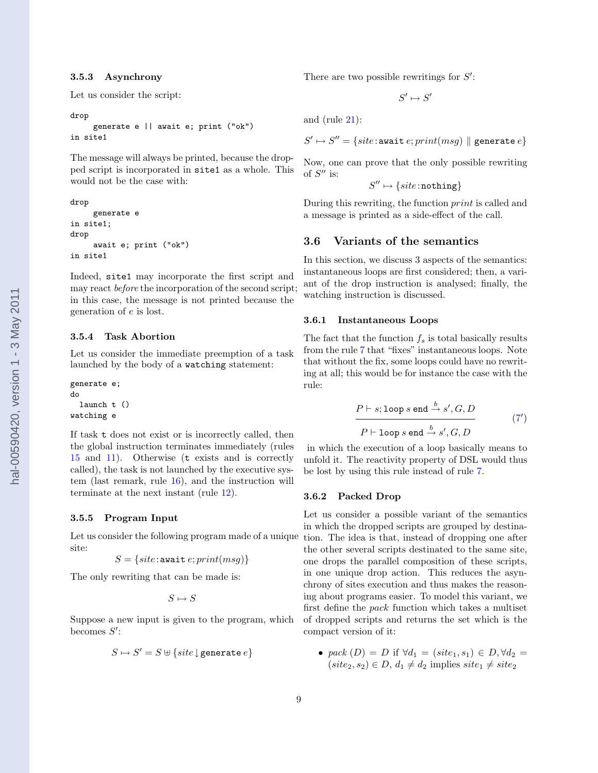#### <span id="page-8-0"></span>3.5.3 Asynchrony

Let us consider the script:

#### drop

generate e || await e; print ("ok") in site1

The message will always be printed, because the dropped script is incorporated in site1 as a whole. This would not be the case with:

```
drop
     generate e
in site1;
drop
     await e; print ("ok")
in site1
```
Indeed, site1 may incorporate the first script and may react before the incorporation of the second script; in this case, the message is not printed because the generation of e is lost.

#### 3.5.4 Task Abortion

Let us consider the immediate preemption of a task launched by the body of a watching statement:

```
generate e;
do
  launch t ()
watching e
```
If task t does not exist or is incorrectly called, then the global instruction terminates immediately (rules [15](#page-5-0) and [11\)](#page-5-0). Otherwise (t exists and is correctly called), the task is not launched by the executive system (last remark, rule [16\)](#page-5-0), and the instruction will terminate at the next instant (rule [12\)](#page-5-0).

#### 3.5.5 Program Input

Let us consider the following program made of a unique site:

 $S = \{site:$ await  $e; print(msg)$ }

The only rewriting that can be made is:

 $S \mapsto S$ 

Suppose a new input is given to the program, which becomes  $S'$ :

$$
S \mapsto S' = S \uplus \{site \downarrow \text{generate } e\}
$$

There are two possible rewritings for  $S'$ :

```
S' \mapsto S'
```
and (rule [21\)](#page-7-0):

 $S' \mapsto S'' = \{site : \text{await } e; print(msg) \parallel \text{ generate } e\}$ 

Now, one can prove that the only possible rewriting of  $S''$  is:

 $S'' \mapsto \{site: \text{nothing} \}$ 

During this rewriting, the function print is called and a message is printed as a side-effect of the call.

#### 3.6 Variants of the semantics

In this section, we discuss 3 aspects of the semantics: instantaneous loops are first considered; then, a variant of the drop instruction is analysed; finally, the watching instruction is discussed.

#### 3.6.1 Instantaneous Loops

The fact that the function  $f_s$  is total basically results from the rule [7](#page-5-0) that "fixes" instantaneous loops. Note that without the fix, some loops could have no rewriting at all; this would be for instance the case with the rule:

$$
\frac{P \vdash s; \text{loop } s \text{ end} \xrightarrow{b} s', G, D}{P \vdash \text{loop } s \text{ end} \xrightarrow{b} s', G, D}
$$
 (7')

in which the execution of a loop basically means to unfold it. The reactivity property of DSL would thus be lost by using this rule instead of rule [7.](#page-5-0)

#### 3.6.2 Packed Drop

Let us consider a possible variant of the semantics in which the dropped scripts are grouped by destination. The idea is that, instead of dropping one after the other several scripts destinated to the same site, one drops the parallel composition of these scripts, in one unique drop action. This reduces the asynchrony of sites execution and thus makes the reasoning about programs easier. To model this variant, we first define the pack function which takes a multiset of dropped scripts and returns the set which is the compact version of it:

• pack  $(D) = D$  if  $\forall d_1 = (site_1, s_1) \in D, \forall d_2 =$  $(size_2, s_2) \in D, d_1 \neq d_2$  implies  $site_1 \neq site_2$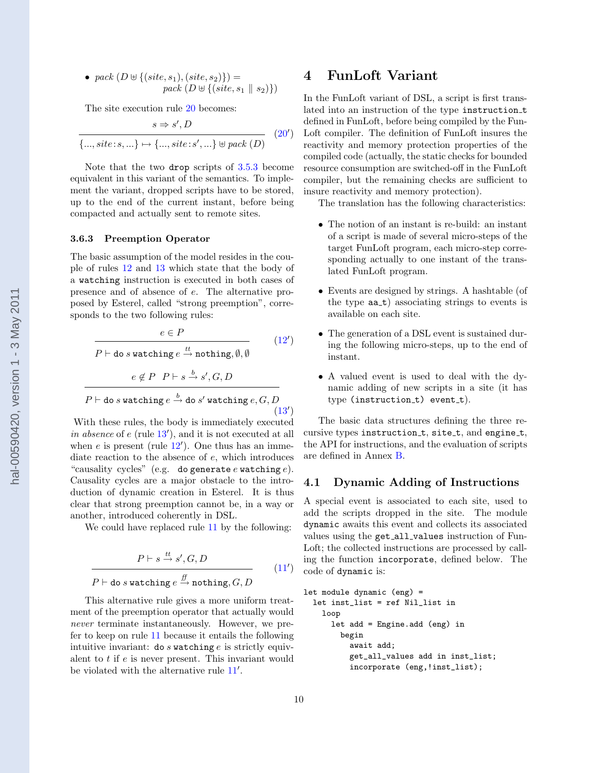<span id="page-9-0"></span>• pack 
$$
(D \oplus \{(site, s_1), (site, s_2)\}) =
$$
  
pack  $(D \oplus \{(site, s_1 \parallel s_2)\})$ 

The site execution rule [20](#page-7-0) becomes:

$$
s \Rightarrow s', D
$$
  

$$
\overline{\{..., site : s, ...\} \mapsto \{..., site : s', ...\} \oplus pack(D)}
$$
 (20')

Note that the two drop scripts of [3.5.3](#page-8-0) become equivalent in this variant of the semantics. To implement the variant, dropped scripts have to be stored, up to the end of the current instant, before being compacted and actually sent to remote sites.

#### 3.6.3 Preemption Operator

The basic assumption of the model resides in the couple of rules [12](#page-5-0) and [13](#page-5-0) which state that the body of a watching instruction is executed in both cases of presence and of absence of e. The alternative proposed by Esterel, called "strong preemption", corresponds to the two following rules:

$$
e \in P
$$
\n
$$
P \vdash \text{do } s \text{ watching } e \xrightarrow{tt} \text{nothing}, \emptyset, \emptyset
$$
\n
$$
e \notin P \quad P \vdash s \xrightarrow{b} s', G, D
$$
\n
$$
P \vdash \text{do } s \text{ watching } e \xrightarrow{b} \text{do } s' \text{ watching } e, G, D
$$
\n
$$
(13')
$$

With these rules, the body is immediately executed in absence of  $e$  (rule  $13'$  $13'$ ), and it is not executed at all when  $e$  is present (rule  $12'$  $12'$ ). One thus has an immediate reaction to the absence of e, which introduces "causality cycles" (e.g. do generate  $e$  watching  $e$ ). Causality cycles are a major obstacle to the introduction of dynamic creation in Esterel. It is thus clear that strong preemption cannot be, in a way or another, introduced coherently in DSL.

We could have replaced rule [11](#page-5-0) by the following:

$$
P \vdash s \stackrel{tt}{\to} s', G, D
$$
  

$$
P \vdash \text{do } s \text{ watching } e \stackrel{ff}{\to} \text{nothing, } G, D
$$
 (11')

This alternative rule gives a more uniform treatment of the preemption operator that actually would never terminate instantaneously. However, we prefer to keep on rule [11](#page-5-0) because it entails the following intuitive invariant: do s watching  $e$  is strictly equivalent to t if e is never present. This invariant would be violated with the alternative rule [11](#page-5-0)'.

# 4 FunLoft Variant

In the FunLoft variant of DSL, a script is first translated into an instruction of the type instruction\_t defined in FunLoft, before being compiled by the Fun-Loft compiler. The definition of FunLoft insures the reactivity and memory protection properties of the compiled code (actually, the static checks for bounded resource consumption are switched-off in the FunLoft compiler, but the remaining checks are sufficient to insure reactivity and memory protection).

The translation has the following characteristics:

- The notion of an instant is re-build: an instant of a script is made of several micro-steps of the target FunLoft program, each micro-step corresponding actually to one instant of the translated FunLoft program.
- Events are designed by strings. A hashtable (of the type  $aa_t$ ) associating strings to events is available on each site.
- The generation of a DSL event is sustained during the following micro-steps, up to the end of instant.
- A valued event is used to deal with the dynamic adding of new scripts in a site (it has type  $(instruction_t)$  event<sub>-t</sub>).

The basic data structures defining the three recursive types instruction\_t, site\_t, and engine\_t, the API for instructions, and the evaluation of scripts are defined in Annex [B.](#page-20-0)

## 4.1 Dynamic Adding of Instructions

A special event is associated to each site, used to add the scripts dropped in the site. The module dynamic awaits this event and collects its associated values using the get\_all\_values instruction of Fun-Loft; the collected instructions are processed by calling the function incorporate, defined below. The code of dynamic is:

```
let module dynamic (eng) =
  let inst_list = ref Nil_list in
    loop
      let add = Engine.add (eng) in
        begin
          await add;
          get_all_values add in inst_list;
          incorporate (eng, !inst_list);
```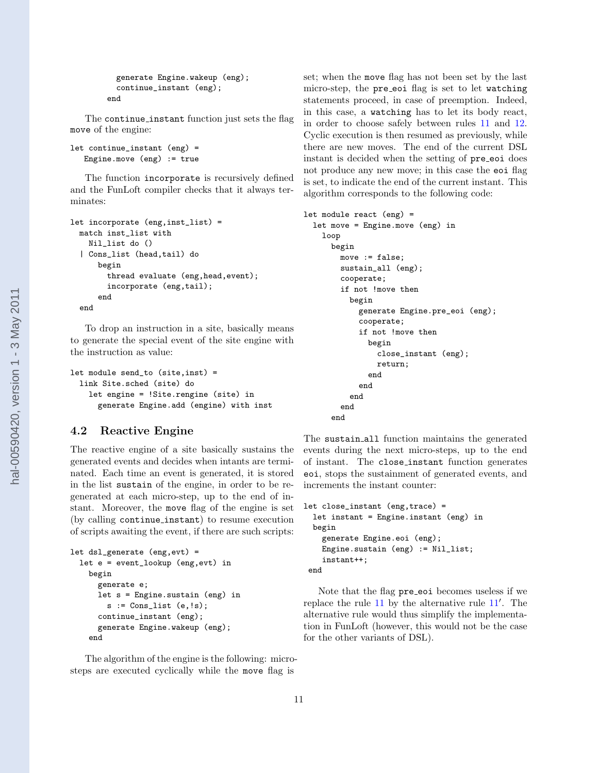```
generate Engine.wakeup (eng);
 continue_instant (eng);
end
```
The continue instant function just sets the flag move of the engine:

```
let continue_instant (eng) =
   Engine.move (eng) := true
```
The function incorporate is recursively defined and the FunLoft compiler checks that it always terminates:

```
let incorporate (eng,inst_list) =
 match inst_list with
    Nil_list do ()
  | Cons_list (head,tail) do
      begin
        thread evaluate (eng,head,event);
        incorporate (eng, tail);
      end
  end
```
To drop an instruction in a site, basically means to generate the special event of the site engine with the instruction as value:

```
let module send_to (site,inst) =
 link Site.sched (site) do
    let engine = !Site.rengine (site) in
      generate Engine.add (engine) with inst
```
#### 4.2 Reactive Engine

The reactive engine of a site basically sustains the generated events and decides when intants are terminated. Each time an event is generated, it is stored in the list sustain of the engine, in order to be regenerated at each micro-step, up to the end of instant. Moreover, the move flag of the engine is set (by calling continue instant) to resume execution of scripts awaiting the event, if there are such scripts:

```
let dsl_generate (eng,evt) =
 let e = event_lookup (eng,evt) in
    begin
      generate e;
      let s = Engine.sustain (eng) in
        s := Cons_list (e, !s);
      continue_instant (eng);
      generate Engine.wakeup (eng);
    end
```
The algorithm of the engine is the following: microsteps are executed cyclically while the move flag is

set; when the move flag has not been set by the last micro-step, the pre eoi flag is set to let watching statements proceed, in case of preemption. Indeed, in this case, a watching has to let its body react, in order to choose safely between rules [11](#page-5-0) and [12.](#page-5-0) Cyclic execution is then resumed as previously, while there are new moves. The end of the current DSL instant is decided when the setting of pre eoi does not produce any new move; in this case the eoi flag is set, to indicate the end of the current instant. This algorithm corresponds to the following code:

```
let module react (eng) =
  let move = Engine.move (eng) in
    loop
      begin
        move := false;
        sustain_all (eng);
        cooperate;
        if not !move then
          begin
            generate Engine.pre_eoi (eng);
            cooperate;
            if not !move then
              begin
                close_instant (eng);
                return;
              end
            end
          end
        end
      end
```
The sustain all function maintains the generated events during the next micro-steps, up to the end of instant. The close instant function generates eoi, stops the sustainment of generated events, and increments the instant counter:

```
let close_instant (eng,trace) =
  let instant = Engine.instant (eng) in
  begin
    generate Engine.eoi (eng);
    Engine.sustain (eng) := Nil_list;
    instant++;
 end
```
Note that the flag pre eoi becomes useless if we replace the rule  $11$  by the alternative rule  $11'$ . The alternative rule would thus simplify the implementation in FunLoft (however, this would not be the case for the other variants of DSL).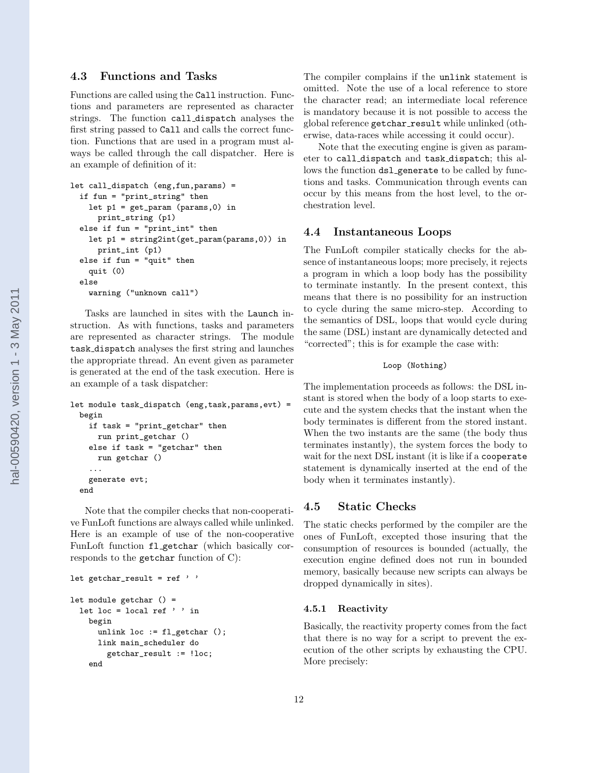## <span id="page-11-0"></span>4.3 Functions and Tasks

Functions are called using the Call instruction. Functions and parameters are represented as character strings. The function call dispatch analyses the first string passed to Call and calls the correct function. Functions that are used in a program must always be called through the call dispatcher. Here is an example of definition of it:

```
let call_dispatch (eng,fun,params) =
  if fun = "print_string" then
    let p1 = get_param (params,0) in
      print_string (p1)
  else if fun = "print_int" then
    let p1 = string2int(get_param(params,0)) in
      print_int (p1)
  else if fun = "quit" then
    quit (0)
  else
    warning ("unknown call")
```
Tasks are launched in sites with the Launch instruction. As with functions, tasks and parameters are represented as character strings. The module task dispatch analyses the first string and launches the appropriate thread. An event given as parameter is generated at the end of the task execution. Here is an example of a task dispatcher:

```
let module task_dispatch (eng,task,params,evt) =
 begin
    if task = "print_getchar" then
      run print_getchar ()
    else if task = "getchar" then
      run getchar ()
    ...
   generate evt;
  end
```
Note that the compiler checks that non-cooperative FunLoft functions are always called while unlinked. Here is an example of use of the non-cooperative FunLoft function fl getchar (which basically corresponds to the getchar function of C):

```
let getchar_result = ref ' '
let module getchar () =
 let loc = local ref ' ' in
    begin
      unlink loc := f1 getchar ();
      link main_scheduler do
        getchar_result := !loc;
    end
```
The compiler complains if the unlink statement is omitted. Note the use of a local reference to store the character read; an intermediate local reference is mandatory because it is not possible to access the global reference getchar\_result while unlinked (otherwise, data-races while accessing it could occur).

Note that the executing engine is given as parameter to call dispatch and task dispatch; this allows the function  $ds1$ -generate to be called by functions and tasks. Communication through events can occur by this means from the host level, to the orchestration level.

#### 4.4 Instantaneous Loops

The FunLoft compiler statically checks for the absence of instantaneous loops; more precisely, it rejects a program in which a loop body has the possibility to terminate instantly. In the present context, this means that there is no possibility for an instruction to cycle during the same micro-step. According to the semantics of DSL, loops that would cycle during the same (DSL) instant are dynamically detected and "corrected"; this is for example the case with:

#### Loop (Nothing)

The implementation proceeds as follows: the DSL instant is stored when the body of a loop starts to execute and the system checks that the instant when the body terminates is different from the stored instant. When the two instants are the same (the body thus terminates instantly), the system forces the body to wait for the next DSL instant (it is like if a cooperate statement is dynamically inserted at the end of the body when it terminates instantly).

## 4.5 Static Checks

The static checks performed by the compiler are the ones of FunLoft, excepted those insuring that the consumption of resources is bounded (actually, the execution engine defined does not run in bounded memory, basically because new scripts can always be dropped dynamically in sites).

#### 4.5.1 Reactivity

Basically, the reactivity property comes from the fact that there is no way for a script to prevent the execution of the other scripts by exhausting the CPU. More precisely: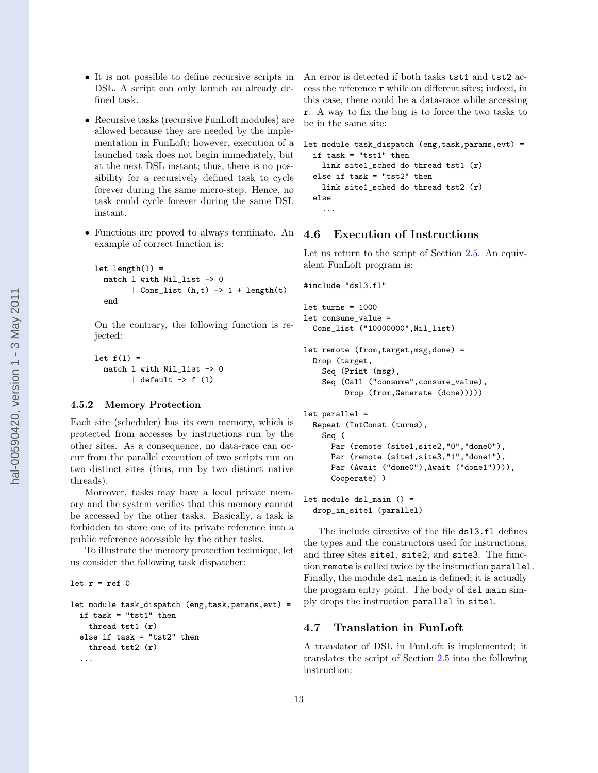- <span id="page-12-0"></span>• It is not possible to define recursive scripts in DSL. A script can only launch an already defined task.
- Recursive tasks (recursive FunLoft modules) are allowed because they are needed by the implementation in FunLoft; however, execution of a launched task does not begin immediately, but at the next DSL instant; thus, there is no possibility for a recursively defined task to cycle forever during the same micro-step. Hence, no task could cycle forever during the same DSL instant.
- Functions are proved to always terminate. An example of correct function is:

```
let length(1) =match l with Nil_list -> 0
        | Cons_list (h,t) -> 1 + length(t)end
```
On the contrary, the following function is rejected:

```
let f(1) =match l with Nil_list -> 0
         | default \rightarrow f (1)
```
## 4.5.2 Memory Protection

let  $r = ref 0$ 

Each site (scheduler) has its own memory, which is protected from accesses by instructions run by the other sites. As a consequence, no data-race can occur from the parallel execution of two scripts run on two distinct sites (thus, run by two distinct native threads).

Moreover, tasks may have a local private memory and the system verifies that this memory cannot be accessed by the other tasks. Basically, a task is forbidden to store one of its private reference into a public reference accessible by the other tasks.

To illustrate the memory protection technique, let us consider the following task dispatcher:

```
let module task_dispatch (eng,task,params,evt) =
  if task = "tst1" then
    thread tst1 (r)
  else if task = "tst2" then
    thread tst2 (r)
  ...
```
An error is detected if both tasks tst1 and tst2 access the reference r while on different sites; indeed, in this case, there could be a data-race while accessing r. A way to fix the bug is to force the two tasks to be in the same site:

```
let module task_dispatch (eng,task,params,evt) =
  if task = "tst1" then
    link site1_sched do thread tst1 (r)
  else if task = "tst2" then
    link site1_sched do thread tst2 (r)
  else
    ...
```
## 4.6 Execution of Instructions

Let us return to the script of Section [2.5.](#page-3-0) An equivalent FunLoft program is:

```
#include "dsl3.fl"
let turns = 1000let consume_value =
  Cons_list ("10000000",Nil_list)
let remote (from,target,msg,done) =
  Drop (target,
    Seq (Print (msg),
    Seq (Call ("consume",consume_value),
         Drop (from, Generate (done)))))
let parallel =
  Repeat (IntConst (turns),
    Seq (
      Par (remote (site1, site2, "0", "done0"),
      Par (remote (site1, site3, "1", "done1"),
      Par (Await ("done0"), Await ("done1")))),
      Cooperate) )
```
let module dsl\_main () = drop\_in\_site1 (parallel)

The include directive of the file dsl3.fl defines the types and the constructors used for instructions, and three sites site1, site2, and site3. The function remote is called twice by the instruction parallel. Finally, the module dsl main is defined; it is actually the program entry point. The body of dsl main simply drops the instruction parallel in site1.

# 4.7 Translation in FunLoft

A translator of DSL in FunLoft is implemented; it translates the script of Section [2.5](#page-3-0) into the following instruction: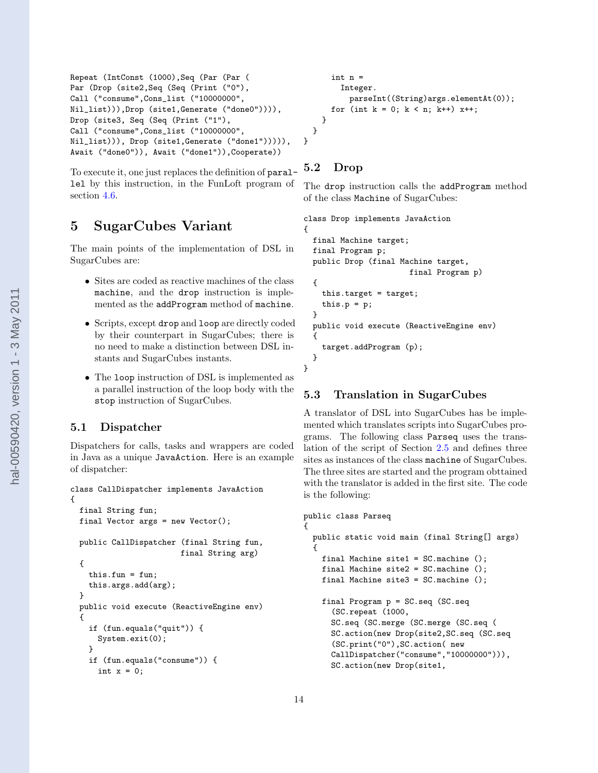```
Repeat (IntConst (1000),Seq (Par (Par (
Par (Drop (site2,Seq (Seq (Print ("0"),
Call ("consume",Cons_list ("10000000",
Nil_list))),Drop (site1,Generate ("done0")))),
Drop (site3, Seq (Seq (Print ("1"),
Call ("consume",Cons_list ("10000000",
Nil_list))), Drop (site1,Generate ("done1"))))),
Await ("done0")), Await ("done1")),Cooperate))
```
To execute it, one just replaces the definition of parallel by this instruction, in the FunLoft program of section [4.6.](#page-12-0)

# 5 SugarCubes Variant

The main points of the implementation of DSL in SugarCubes are:

- Sites are coded as reactive machines of the class machine, and the drop instruction is implemented as the addProgram method of machine.
- Scripts, except drop and loop are directly coded by their counterpart in SugarCubes; there is no need to make a distinction between DSL instants and SugarCubes instants.
- The loop instruction of DSL is implemented as a parallel instruction of the loop body with the stop instruction of SugarCubes.

## 5.1 Dispatcher

{

Dispatchers for calls, tasks and wrappers are coded in Java as a unique JavaAction. Here is an example of dispatcher:

```
class CallDispatcher implements JavaAction
```

```
final String fun;
final Vector args = new Vector();
public CallDispatcher (final String fun,
                      final String arg)
{
 this.fun = fun;
  this.args.add(arg);
}
public void execute (ReactiveEngine env)
{
  if (fun.equals("quit")) {
    System.exit(0);
  }
  if (fun.equals("consume")) {
    int x = 0;
```

```
int n =
      Integer.
        parseInt((String)args.elementAt(0));
    for (int k = 0; k < n; k++) x++;
  }
}
```
# 5.2 Drop

}

The drop instruction calls the addProgram method of the class Machine of SugarCubes:

```
class Drop implements JavaAction
{
  final Machine target;
  final Program p;
  public Drop (final Machine target,
                        final Program p)
  {
    this.target = target;
    this.p = p;
  }
  public void execute (ReactiveEngine env)
  {
    target.addProgram (p);
  }
}
```
## 5.3 Translation in SugarCubes

A translator of DSL into SugarCubes has be implemented which translates scripts into SugarCubes programs. The following class Parseq uses the translation of the script of Section [2.5](#page-3-0) and defines three sites as instances of the class machine of SugarCubes. The three sites are started and the program obttained with the translator is added in the first site. The code is the following:

```
public class Parseq
{
  public static void main (final String[] args)
  {
    final Machine site1 = SC.machine ();
    final Machine site2 = SC.machine ();
    final Machine site3 = SC.machine ();
    final Program p = SC.seq (SC.seq
      (SC.repeat (1000,
      SC.seq (SC.merge (SC.merge (SC.seq (
      SC.action(new Drop(site2,SC.seq (SC.seq
      (SC.print("0"),SC.action( new
      CallDispatcher("consume","10000000"))),
      SC.action(new Drop(site1,
```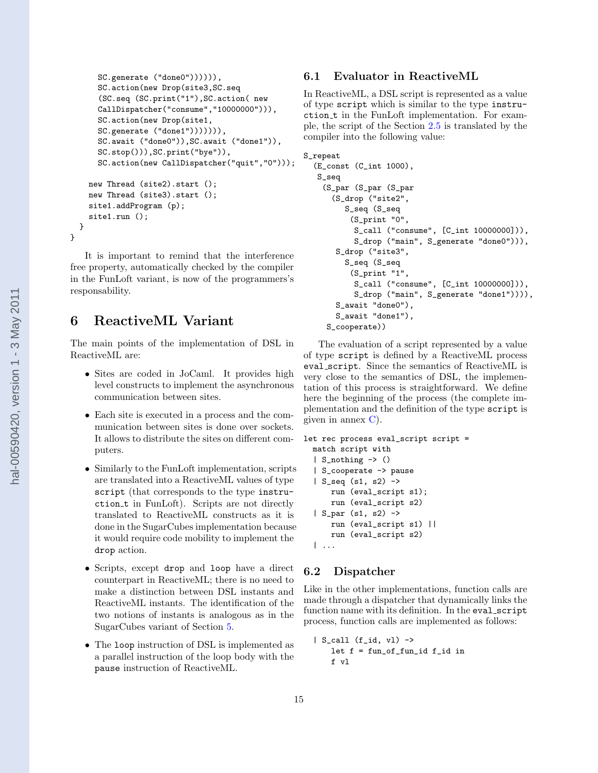```
SC.generate ("done0")))))),
    SC.action(new Drop(site3,SC.seq
    (SC.seq (SC.print("1"),SC.action( new
    CallDispatcher("consume","10000000"))),
    SC.action(new Drop(site1,
    SC.generate ("done1"))))))),
    SC.await ("done0")),SC.await ("done1")),
    SC.stop())),SC.print("bye")),
    SC.action(new CallDispatcher("quit","0")));
  new Thread (site2).start ();
  new Thread (site3).start ();
  site1.addProgram (p);
  site1.run ();
}
```

```
}
```
It is important to remind that the interference free property, automatically checked by the compiler in the FunLoft variant, is now of the programmers's responsability.

# 6 ReactiveML Variant

The main points of the implementation of DSL in ReactiveML are:

- Sites are coded in JoCaml. It provides high level constructs to implement the asynchronous communication between sites.
- Each site is executed in a process and the communication between sites is done over sockets. It allows to distribute the sites on different computers.
- Similarly to the FunLoft implementation, scripts are translated into a ReactiveML values of type script (that corresponds to the type instruction t in FunLoft). Scripts are not directly translated to ReactiveML constructs as it is done in the SugarCubes implementation because it would require code mobility to implement the drop action.
- Scripts, except drop and loop have a direct counterpart in ReactiveML; there is no need to make a distinction between DSL instants and ReactiveML instants. The identification of the two notions of instants is analogous as in the SugarCubes variant of Section [5.](#page-13-0)
- The loop instruction of DSL is implemented as a parallel instruction of the loop body with the pause instruction of ReactiveML.

## 6.1 Evaluator in ReactiveML

In ReactiveML, a DSL script is represented as a value of type script which is similar to the type instruction t in the FunLoft implementation. For example, the script of the Section [2.5](#page-3-0) is translated by the compiler into the following value:

```
S_repeat
  (E_const (C_int 1000),
   S_seq
    (S_par (S_par (S_par
      (S_drop ("site2",
         S_seq (S_seq
          (S_print "0",
           S_call ("consume", [C_int 10000000])),
           S_drop ("main", S_generate "done0"))),
       S_drop ("site3",
         S_seq (S_seq
          (S_print "1",
           S_call ("consume", [C_int 10000000])),
           S_drop ("main", S_generate "done1")))),
       S_await "done0"),
       S_await "done1"),
     S_cooperate))
```
The evaluation of a script represented by a value of type script is defined by a ReactiveML process eval script. Since the semantics of ReactiveML is very close to the semantics of DSL, the implementation of this process is straightforward. We define here the beginning of the process (the complete implementation and the definition of the type script is given in annex [C\)](#page-23-0).

```
let rec process eval_script script =
  match script with
  | S_nothing -> ()
  | S_cooperate -> pause
  | S_seq (s1, s2) ->
      run (eval_script s1);
      run (eval_script s2)
  | S_par (s1, s2) ->
      run (eval_script s1) ||
      run (eval_script s2)
  | ...
```
## 6.2 Dispatcher

Like in the other implementations, function calls are made through a dispatcher that dynamically links the function name with its definition. In the eval\_script process, function calls are implemented as follows:

```
| S_call (f_id, vl) ->
   let f = fun_of_fun_id f_id inf vl
```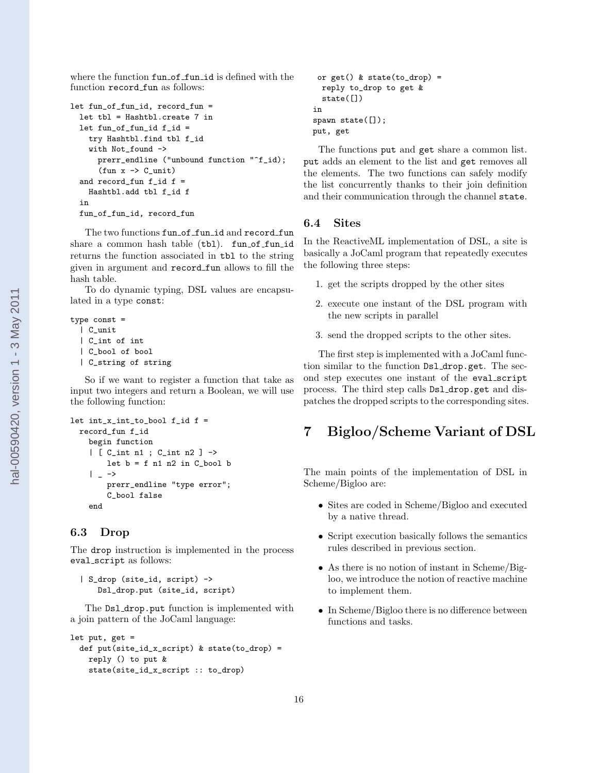<span id="page-15-0"></span>where the function fun of funid is defined with the function record fun as follows:

```
let fun_of_fun_id, record_fun =
  let tbl = Hashtbl.create 7 in
  let fun_of_fun_id f_id =try Hashtbl.find tbl f_id
    with Not_found ->
      prerr_endline ("unbound function "^f_id);
      (fun x \rightarrow C_unit)and record_fun f_id f =
    Hashtbl.add tbl f_id f
  in
  fun_of_fun_id, record_fun
```
The two functions fun of fun id and record fun share a common hash table (tbl). fun of fun id returns the function associated in tbl to the string given in argument and record fun allows to fill the hash table.

To do dynamic typing, DSL values are encapsulated in a type const:

```
type const =
  | C_unit
  | C_int of int
  | C_bool of bool
  | C_string of string
```
So if we want to register a function that take as input two integers and return a Boolean, we will use the following function:

```
let int_x-int_to-book f_id f =record_fun f_id
    begin function
    | [ C_int n1 ; C_int n2 ] ->
        let b = f n1 n2 in C_{bol} b
    | \_ ->
        prerr_endline "type error";
        C_bool false
    end
```
#### 6.3 Drop

The drop instruction is implemented in the process eval script as follows:

```
| S_drop (site_id, script) ->
   Dsl_drop.put (site_id, script)
```
The Ds1\_drop.put function is implemented with a join pattern of the JoCaml language:

```
let put, get =
 def put(site_id_x_script) & state(to_drop) =
    reply () to put &
    state(site_id_x_script :: to_drop)
```

```
or get() & state(to_drop) =
 reply to_drop to get &
  state([])
in
spawn state([]);
put, get
```
The functions put and get share a common list. put adds an element to the list and get removes all the elements. The two functions can safely modify the list concurrently thanks to their join definition and their communication through the channel state.

#### 6.4 Sites

In the ReactiveML implementation of DSL, a site is basically a JoCaml program that repeatedly executes the following three steps:

- 1. get the scripts dropped by the other sites
- 2. execute one instant of the DSL program with the new scripts in parallel
- 3. send the dropped scripts to the other sites.

The first step is implemented with a JoCaml function similar to the function Dsl drop.get. The second step executes one instant of the eval script process. The third step calls Dsl drop.get and dispatches the dropped scripts to the corresponding sites.

# 7 Bigloo/Scheme Variant of DSL

The main points of the implementation of DSL in Scheme/Bigloo are:

- Sites are coded in Scheme/Bigloo and executed by a native thread.
- Script execution basically follows the semantics rules described in previous section.
- As there is no notion of instant in Scheme/Bigloo, we introduce the notion of reactive machine to implement them.
- In Scheme/Bigloo there is no difference between functions and tasks.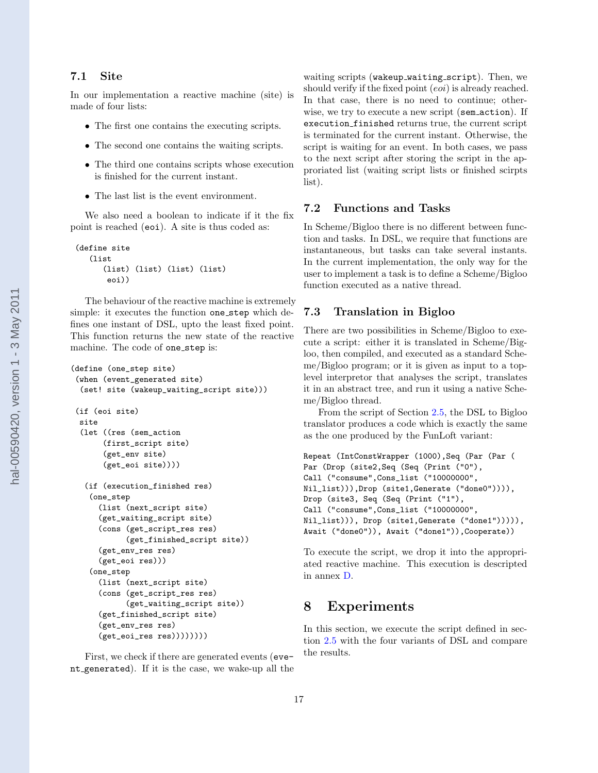# <span id="page-16-0"></span>7.1 Site

In our implementation a reactive machine (site) is made of four lists:

- The first one contains the executing scripts.
- The second one contains the waiting scripts.
- The third one contains scripts whose execution is finished for the current instant.
- The last list is the event environment.

We also need a boolean to indicate if it the fix point is reached (eoi). A site is thus coded as:

```
(define site
   (list
      (list) (list) (list) (list)
       eoi))
```
The behaviour of the reactive machine is extremely simple: it executes the function one step which defines one instant of DSL, upto the least fixed point. This function returns the new state of the reactive machine. The code of one step is:

```
(define (one_step site)
(when (event_generated site)
 (set! site (wakeup_waiting_script site)))
```

```
(if (eoi site)
site
 (let ((res (sem_action
      (first_script site)
      (get_env site)
      (get_eoi site))))
```

```
(if (execution_finished res)
 (one_step
  (list (next_script site)
   (get_waiting_script site)
  (cons (get_script_res res)
         (get_finished_script site))
  (get_env_res res)
   (get_eoi res)))
 (one_step
  (list (next_script site)
  (cons (get_script_res res)
         (get_waiting_script site))
  (get_finished_script site)
   (get_env_res res)
   (get_eoi_res res))))))))
```
First, we check if there are generated events (event generated). If it is the case, we wake-up all the

waiting scripts (wakeup\_waiting\_script). Then, we should verify if the fixed point  $(eoi)$  is already reached. In that case, there is no need to continue; otherwise, we try to execute a new script (sem\_action). If execution finished returns true, the current script is terminated for the current instant. Otherwise, the script is waiting for an event. In both cases, we pass to the next script after storing the script in the approriated list (waiting script lists or finished scirpts list).

#### 7.2 Functions and Tasks

In Scheme/Bigloo there is no different between function and tasks. In DSL, we require that functions are instantaneous, but tasks can take several instants. In the current implementation, the only way for the user to implement a task is to define a Scheme/Bigloo function executed as a native thread.

## 7.3 Translation in Bigloo

There are two possibilities in Scheme/Bigloo to execute a script: either it is translated in Scheme/Bigloo, then compiled, and executed as a standard Scheme/Bigloo program; or it is given as input to a toplevel interpretor that analyses the script, translates it in an abstract tree, and run it using a native Scheme/Bigloo thread.

From the script of Section [2.5,](#page-3-0) the DSL to Bigloo translator produces a code which is exactly the same as the one produced by the FunLoft variant:

```
Repeat (IntConstWrapper (1000),Seq (Par (Par (
Par (Drop (site2,Seq (Seq (Print ("0"),
Call ("consume",Cons_list ("10000000",
Nil_list))),Drop (site1,Generate ("done0")))),
Drop (site3, Seq (Seq (Print ("1"),
Call ("consume",Cons_list ("10000000",
Nil_list))), Drop (site1,Generate ("done1"))))),
Await ("done0")), Await ("done1")),Cooperate))
```
To execute the script, we drop it into the appropriated reactive machine. This execution is descripted in annex [D.](#page-24-0)

# 8 Experiments

In this section, we execute the script defined in section [2.5](#page-3-0) with the four variants of DSL and compare the results.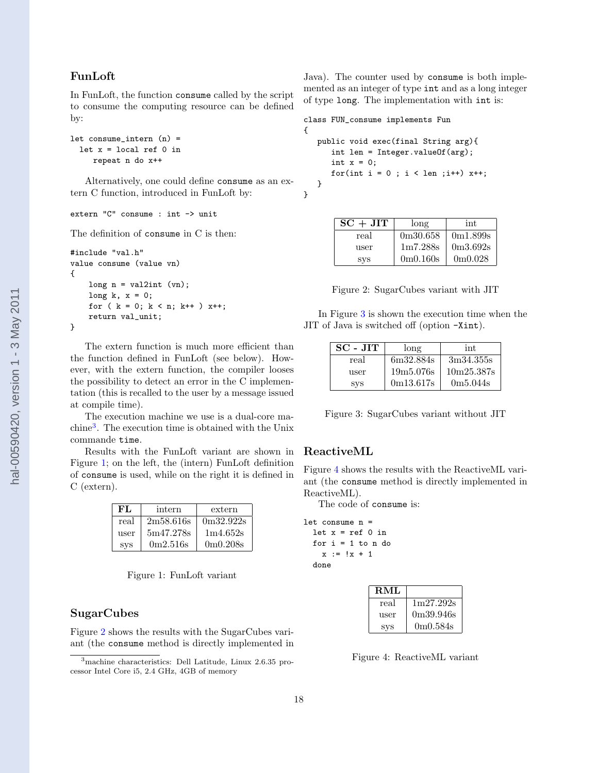## FunLoft

In FunLoft, the function consume called by the script to consume the computing resource can be defined by:

```
let consume_intern (n) =
 let x = local ref 0 inrepeat n do x++
```
Alternatively, one could define consume as an extern C function, introduced in FunLoft by:

```
extern "C" consume : int -> unit
```
The definition of consume in C is then:

```
#include "val.h"
value consume (value vn)
{
    long n = val2int (vn);long k, x = 0;
   for (k = 0; k < n; k++) x++;
   return val_unit;
}
```
The extern function is much more efficient than the function defined in FunLoft (see below). However, with the extern function, the compiler looses the possibility to detect an error in the C implementation (this is recalled to the user by a message issued at compile time).

The execution machine we use is a dual-core machine<sup>3</sup> . The execution time is obtained with the Unix commande time.

Results with the FunLoft variant are shown in Figure 1; on the left, the (intern) FunLoft definition of consume is used, while on the right it is defined in C (extern).

| FL.        | intern    | extern    |
|------------|-----------|-----------|
| real       | 2m58.616s | 0m32.922s |
| user       | 5m47.278s | 1m4.652s  |
| <b>SVS</b> | 0m2.516s  | 0m0.208s  |

Figure 1: FunLoft variant

## SugarCubes

Figure 2 shows the results with the SugarCubes variant (the consume method is directly implemented in Java). The counter used by consume is both implemented as an integer of type int and as a long integer of type long. The implementation with int is:

```
class FUN_consume implements Fun
{
```

```
public void exec(final String arg){
   int len = Integer.valueOf(arg);
   int x = 0;
   for(int i = 0; i < len; i++) x++;}
```

| $SC + JIT$ | long     | int      |
|------------|----------|----------|
| real       | 0m30.658 | 0m1.899s |
| user       | 1m7.288s | 0m3.692s |
| <b>SVS</b> | 0m0.160s | 0m0.028  |

In Figure 3 is shown the execution time when the JIT of Java is switched off (option -Xint).

| <b>SC - JIT</b>   | long      | int        |
|-------------------|-----------|------------|
| real              | 6m32.884s | 3m34.355s  |
| user              | 19m5.076s | 10m25.387s |
| $_{\mathrm{SVS}}$ | 0m13.617s | 0m5.044s   |

Figure 3: SugarCubes variant without JIT

## ReactiveML

}

Figure 4 shows the results with the ReactiveML variant (the consume method is directly implemented in ReactiveML).

The code of consume is:

```
let consume n =
  let x = ref 0 infor i = 1 to n do
    x := !x + 1done
```

| RML  |           |
|------|-----------|
| real | 1m27.292s |
| user | 0m39.946s |
| SVS  | 0m0.584s  |

Figure 4: ReactiveML variant

<sup>3</sup>machine characteristics: Dell Latitude, Linux 2.6.35 processor Intel Core i5, 2.4 GHz, 4GB of memory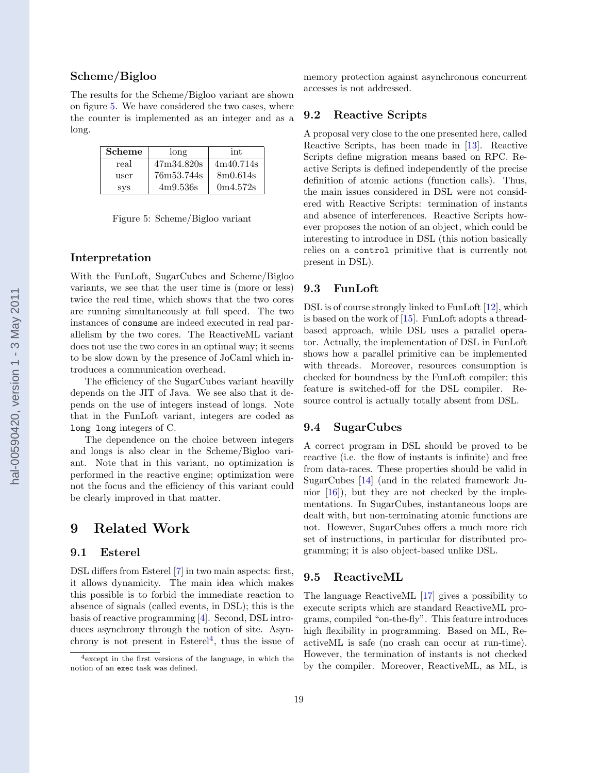#### <span id="page-18-0"></span>Scheme/Bigloo

The results for the Scheme/Bigloo variant are shown on figure 5. We have considered the two cases, where the counter is implemented as an integer and as a long.

| <b>Scheme</b> | long       | int       |
|---------------|------------|-----------|
| real          | 47m34.820s | 4m40.714s |
| user          | 76m53.744s | 8m0.614s  |
| <b>SVS</b>    | 4m9.536s   | 0m4.572s  |

| Figure 5: Scheme/Bigloo variant |
|---------------------------------|
|---------------------------------|

#### Interpretation

With the FunLoft, SugarCubes and Scheme/Bigloo variants, we see that the user time is (more or less) twice the real time, which shows that the two cores are running simultaneously at full speed. The two instances of consume are indeed executed in real parallelism by the two cores. The ReactiveML variant does not use the two cores in an optimal way; it seems to be slow down by the presence of JoCaml which introduces a communication overhead.

The efficiency of the SugarCubes variant heavilly depends on the JIT of Java. We see also that it depends on the use of integers instead of longs. Note that in the FunLoft variant, integers are coded as long long integers of C.

The dependence on the choice between integers and longs is also clear in the Scheme/Bigloo variant. Note that in this variant, no optimization is performed in the reactive engine; optimization were not the focus and the efficiency of this variant could be clearly improved in that matter.

# 9 Related Work

#### 9.1 Esterel

DSL differs from Esterel [\[7\]](#page-19-0) in two main aspects: first, it allows dynamicity. The main idea which makes this possible is to forbid the immediate reaction to absence of signals (called events, in DSL); this is the basis of reactive programming [\[4\]](#page-19-0). Second, DSL introduces asynchrony through the notion of site. Asynchrony is not present in  $Esterel<sup>4</sup>$ , thus the issue of

memory protection against asynchronous concurrent accesses is not addressed.

## 9.2 Reactive Scripts

A proposal very close to the one presented here, called Reactive Scripts, has been made in [\[13\]](#page-20-0). Reactive Scripts define migration means based on RPC. Reactive Scripts is defined independently of the precise definition of atomic actions (function calls). Thus, the main issues considered in DSL were not considered with Reactive Scripts: termination of instants and absence of interferences. Reactive Scripts however proposes the notion of an object, which could be interesting to introduce in DSL (this notion basically relies on a control primitive that is currently not present in DSL).

#### 9.3 FunLoft

DSL is of course strongly linked to FunLoft [\[12\]](#page-19-0), which is based on the work of [\[15\]](#page-20-0). FunLoft adopts a threadbased approach, while DSL uses a parallel operator. Actually, the implementation of DSL in FunLoft shows how a parallel primitive can be implemented with threads. Moreover, resources consumption is checked for boundness by the FunLoft compiler; this feature is switched-off for the DSL compiler. Resource control is actually totally absent from DSL.

#### 9.4 SugarCubes

A correct program in DSL should be proved to be reactive (i.e. the flow of instants is infinite) and free from data-races. These properties should be valid in SugarCubes [\[14\]](#page-20-0) (and in the related framework Junior  $[16]$ , but they are not checked by the implementations. In SugarCubes, instantaneous loops are dealt with, but non-terminating atomic functions are not. However, SugarCubes offers a much more rich set of instructions, in particular for distributed programming; it is also object-based unlike DSL.

#### 9.5 ReactiveML

The language ReactiveML [\[17\]](#page-20-0) gives a possibility to execute scripts which are standard ReactiveML programs, compiled "on-the-fly". This feature introduces high flexibility in programming. Based on ML, ReactiveML is safe (no crash can occur at run-time). However, the termination of instants is not checked by the compiler. Moreover, ReactiveML, as ML, is

<sup>4</sup>except in the first versions of the language, in which the notion of an exec task was defined.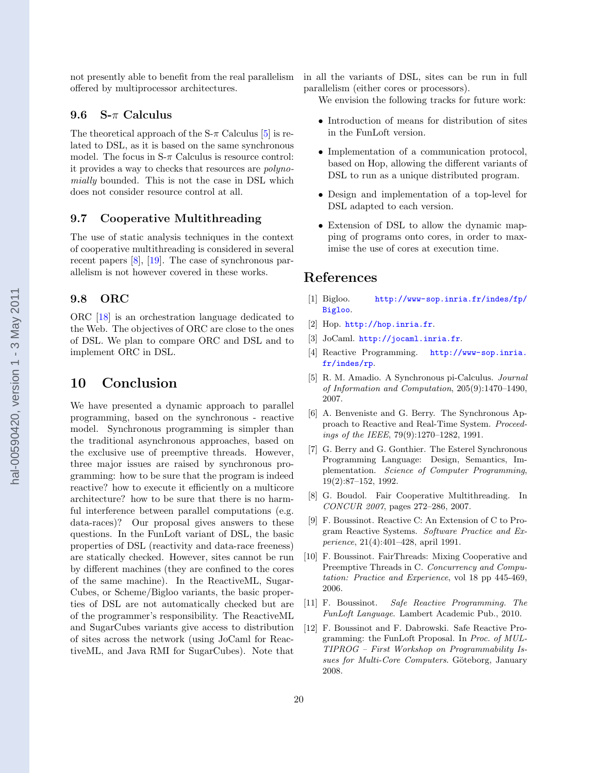<span id="page-19-0"></span>not presently able to benefit from the real parallelism in all the variants of DSL, sites can be run in full offered by multiprocessor architectures.

#### 9.6 S- $\pi$  Calculus

The theoretical approach of the  $S-\pi$  Calculus [5] is related to DSL, as it is based on the same synchronous model. The focus in  $S-\pi$  Calculus is resource control: it provides a way to checks that resources are polynomially bounded. This is not the case in DSL which does not consider resource control at all.

#### 9.7 Cooperative Multithreading

The use of static analysis techniques in the context of cooperative multithreading is considered in several recent papers [8], [\[19\]](#page-20-0). The case of synchronous parallelism is not however covered in these works.

#### 9.8 ORC

ORC [\[18\]](#page-20-0) is an orchestration language dedicated to the Web. The objectives of ORC are close to the ones of DSL. We plan to compare ORC and DSL and to implement ORC in DSL.

# 10 Conclusion

We have presented a dynamic approach to parallel programming, based on the synchronous - reactive model. Synchronous programming is simpler than the traditional asynchronous approaches, based on the exclusive use of preemptive threads. However, three major issues are raised by synchronous programming: how to be sure that the program is indeed reactive? how to execute it efficiently on a multicore architecture? how to be sure that there is no harmful interference between parallel computations (e.g. data-races)? Our proposal gives answers to these questions. In the FunLoft variant of DSL, the basic properties of DSL (reactivity and data-race freeness) are statically checked. However, sites cannot be run by different machines (they are confined to the cores of the same machine). In the ReactiveML, Sugar-Cubes, or Scheme/Bigloo variants, the basic properties of DSL are not automatically checked but are of the programmer's responsibility. The ReactiveML and SugarCubes variants give access to distribution of sites across the network (using JoCaml for ReactiveML, and Java RMI for SugarCubes). Note that

parallelism (either cores or processors).

We envision the following tracks for future work:

- Introduction of means for distribution of sites in the FunLoft version.
- Implementation of a communication protocol, based on Hop, allowing the different variants of DSL to run as a unique distributed program.
- Design and implementation of a top-level for DSL adapted to each version.
- Extension of DSL to allow the dynamic mapping of programs onto cores, in order to maximise the use of cores at execution time.

# References

- [1] Bigloo. [http://www-sop.inria.fr/indes/fp/](http://www-sop.inria.fr/indes/fp/Bigloo) [Bigloo](http://www-sop.inria.fr/indes/fp/Bigloo).
- [2] Hop. <http://hop.inria.fr>.
- [3] JoCaml. <http://jocaml.inria.fr>.
- [4] Reactive Programming. [http://www-sop.inria.](http://www-sop.inria.fr/indes/rp) [fr/indes/rp](http://www-sop.inria.fr/indes/rp).
- [5] R. M. Amadio. A Synchronous pi-Calculus. Journal of Information and Computation, 205(9):1470–1490, 2007.
- [6] A. Benveniste and G. Berry. The Synchronous Approach to Reactive and Real-Time System. Proceedings of the IEEE, 79(9):1270–1282, 1991.
- [7] G. Berry and G. Gonthier. The Esterel Synchronous Programming Language: Design, Semantics, Implementation. Science of Computer Programming, 19(2):87–152, 1992.
- [8] G. Boudol. Fair Cooperative Multithreading. In CONCUR 2007, pages 272–286, 2007.
- [9] F. Boussinot. Reactive C: An Extension of C to Program Reactive Systems. Software Practice and Experience, 21(4):401–428, april 1991.
- [10] F. Boussinot. FairThreads: Mixing Cooperative and Preemptive Threads in C. Concurrency and Computation: Practice and Experience, vol 18 pp 445-469, 2006.
- [11] F. Boussinot. Safe Reactive Programming. The FunLoft Language. Lambert Academic Pub., 2010.
- [12] F. Boussinot and F. Dabrowski. Safe Reactive Programming: the FunLoft Proposal. In Proc. of MUL-TIPROG – First Workshop on Programmability Issues for Multi-Core Computers. Göteborg, January 2008.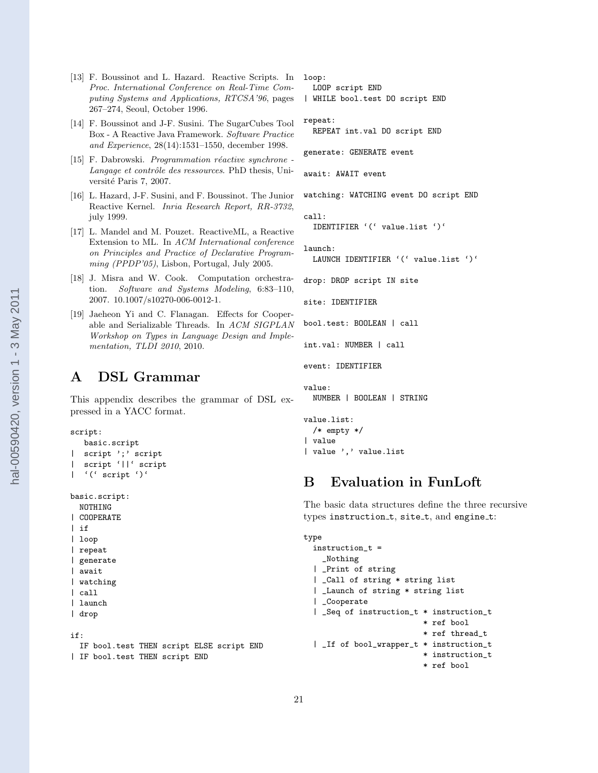hal-00590420, version 1 - 3 May 2011 hal-00590420, version 1 - 3 May 2011

- <span id="page-20-0"></span>[13] F. Boussinot and L. Hazard. Reactive Scripts. In Proc. International Conference on Real-Time Computing Systems and Applications, RTCSA'96, pages 267–274, Seoul, October 1996.
- [14] F. Boussinot and J-F. Susini. The SugarCubes Tool Box - A Reactive Java Framework. Software Practice and Experience, 28(14):1531–1550, december 1998.
- $[15]$  F. Dabrowski. *Programmation réactive synchrone* -Langage et contrôle des ressources. PhD thesis, Université Paris 7, 2007.
- [16] L. Hazard, J-F. Susini, and F. Boussinot. The Junior Reactive Kernel. Inria Research Report, RR-3732, july 1999.
- [17] L. Mandel and M. Pouzet. ReactiveML, a Reactive Extension to ML. In ACM International conference on Principles and Practice of Declarative Programming (PPDP'05), Lisbon, Portugal, July 2005.
- [18] J. Misra and W. Cook. Computation orchestration. Software and Systems Modeling, 6:83–110, 2007. 10.1007/s10270-006-0012-1.
- [19] Jaeheon Yi and C. Flanagan. Effects for Cooperable and Serializable Threads. In ACM SIGPLAN Workshop on Types in Language Design and Implementation, TLDI 2010, 2010.

# A DSL Grammar

This appendix describes the grammar of DSL expressed in a YACC format.

```
script:
  basic.script
| script ';' script
| script '||' script
```
| '(' script ')'

```
basic.script:
  NOTHING
```

```
| COOPERATE
| if
| loop
```

```
| repeat
```

```
| generate
```

```
| await
```

```
| watching
```

```
| call
```

```
| launch
```

```
| drop
```
if:

```
IF bool.test THEN script ELSE script END
| IF bool.test THEN script END
```
loop:

```
LOOP script END
| WHILE bool.test DO script END
```

```
repeat:
  REPEAT int.val DO script END
```
generate: GENERATE event

```
await: AWAIT event
```
watching: WATCHING event DO script END

call: IDENTIFIER '(' value.list ')'

```
launch:
 LAUNCH IDENTIFIER '(' value.list ')'
```
drop: DROP script IN site

```
site: IDENTIFIER
```
bool.test: BOOLEAN | call

```
int.val: NUMBER | call
```
| value ',' value.list

```
event: IDENTIFIER
```

```
value:
  NUMBER | BOOLEAN | STRING
value.list:
  /* empty */
| value
```
B Evaluation in FunLoft

The basic data structures define the three recursive types instruction\_t, site\_t, and engine\_t:

```
type
  instruction_t =
    _Nothing
  | _Print of string
  | _Call of string * string list
  | _Launch of string * string list
  | _Cooperate
  | _Seq of instruction_t * instruction_t
                          * ref bool
                           * ref thread_t
  | _If of bool_wrapper_t * instruction_t
                           * instruction_t
                          * ref bool
```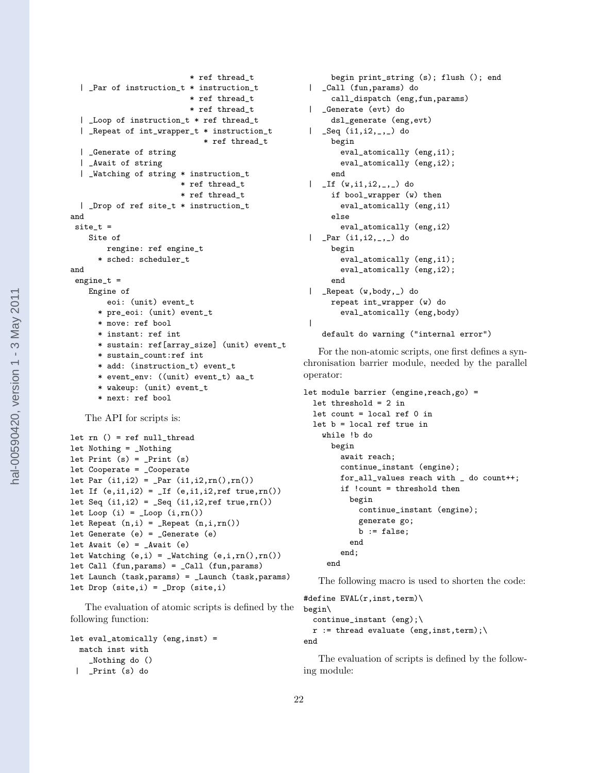```
* ref thread_t
  | _Par of instruction_t * instruction_t
                          * ref thread_t
                          * ref thread_t
  | _Loop of instruction_t * ref thread_t
  | _Repeat of int_wrapper_t * instruction_t
                             * ref thread_t
  | _Generate of string
  | _Await of string
  | _Watching of string * instruction_t
                        * ref thread_t
                        * ref thread_t
  | _Drop of ref site_t * instruction_t
and
site_t =
   Site of
       rengine: ref engine_t
      * sched: scheduler_t
and
engine_t =
    Engine of
       eoi: (unit) event_t
      * pre_eoi: (unit) event_t
      * move: ref bool
      * instant: ref int
      * sustain: ref[array_size] (unit) event_t
      * sustain_count:ref int
      * add: (instruction_t) event_t
      * event_env: ((unit) event_t) aa_t
      * wakeup: (unit) event_t
```

```
* next: ref bool
```
The API for scripts is:

```
let rn () = ref null_thread
let Nothing = _Nothing
let Print (s) = _Print (s)let Cooperate = _Cooperate
let Par (ii, i2) = \text{Par} (i1, i2, rn(), rn())let If (e,i1,i2) = If (e,i1,i2,ref true,rn())let Seq (ii, i2) = Seq (ii, i2, ref true, rn())let Loop (i) = \text{Loop } (i, rn())let Repeat (n,i) = _Repeat (n,i,rn()let Generate (e) = _Generate (e)
let Await (e) = _Mait (e)let Watching (e,i) = Watching (e,i,rn(),rn())let Call (fun,params) = _Call (fun,params)
let Launch (task,params) = _Launch (task,params)
let Drop (site,i) = Drop (site,i)
```
The evaluation of atomic scripts is defined by the following function:

```
let eval_atomically (eng,inst) =
 match inst with
    _Nothing do ()
 | _Print (s) do
```

```
begin print_string (s); flush (); end
| _Call (fun,params) do
    call_dispatch (eng,fun,params)
| _Generate (evt) do
    dsl_generate (eng,evt)
| _Seq (i1,i2, _, _) do
     begin
       eval_atomically (eng,i1);
       eval_atomically (eng,i2);
     end
| If (w, i1, i2, ...) do
     if bool_wrapper (w) then
       eval_atomically (eng,i1)
     else
       eval_atomically (eng,i2)
| _Par (i1,i2,_,_) do
    begin
       eval_atomically (eng,i1);
       eval_atomically (eng,i2);
     end
| _Repeat (w,body,_) do
    repeat int_wrapper (w) do
       eval_atomically (eng,body)
|
  default do warning ("internal error")
```
For the non-atomic scripts, one first defines a synchronisation barrier module, needed by the parallel operator:

```
let module barrier (engine,reach,go) =
  let threshold = 2 in
  let count = local ref 0 in
  let b = local ref true in
    while !b do
      begin
        await reach;
        continue_instant (engine);
        for_all_values reach with _ do count++;
        if !count = threshold then
          begin
            continue_instant (engine);
            generate go;
            b := false;end
        end;
     end
```
The following macro is used to shorten the code:

```
#define EVAL(r,inst,term)\
begin\
  continue_instant (eng);\
  r := thread evaluate (eng, inst, term);
end
```
The evaluation of scripts is defined by the following module: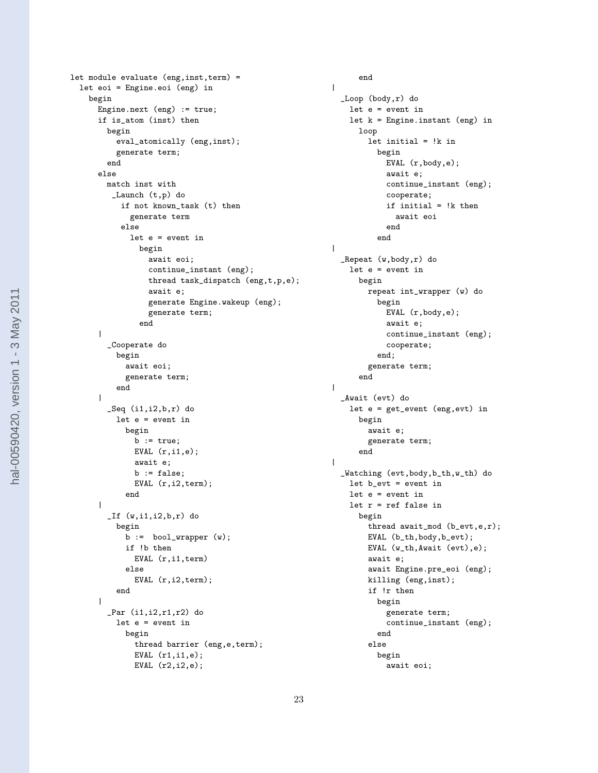```
let module evaluate (eng,inst,term) =
 let eoi = Engine.eoi (eng) in
   begin
      Engine.next (eng) := true;
      if is_atom (inst) then
       begin
          eval_atomically (eng,inst);
          generate term;
        end
      else
        match inst with
         _Launch (t,p) do
           if not known_task (t) then
             generate term
           else
             let e = event in
               begin
                 await eoi;
                 continue_instant (eng);
                 thread task_dispatch (eng,t,p,e);
                 await e;
                 generate Engine.wakeup (eng);
                 generate term;
               end
      |
        _Cooperate do
          begin
            await eoi;
            generate term;
          end
      |
        _Seq (i1,i2,b,r) do
          let e = event in
            begin
              b := true;EVAL (r,i1,e);
              await e;
              b := false;EVAL (r,i2,term);
            end
      |
        _If (w,i1,i2,b,r) do
          begin
            b := bool_wrapper (w);
            if !b then
              EVAL (r,i1,term)
            else
              EVAL (r,i2,term);
          end
      |
        _Par (i1,i2,r1,r2) do
          let e = event in
            begin
              thread barrier (eng, e, term);
              EVAL (r1,i1,e);
              EVAL (r2,i2,e);
```

```
end
\blacksquare_Loop (body,r) do
    let e = event in
    let k = Engine.instant (eng) in
      loop
        let initial = !k in
          begin
            EVAL (r,body,e);
            await e;
            continue_instant (eng);
            cooperate;
            if initial = !k then
               await eoi
            end
          end
\blacksquare_Repeat (w,body,r) do
    let e = event in
      begin
        repeat int_wrapper (w) do
          begin
            EVAL (r,body,e);
            await e;
            continue_instant (eng);
            cooperate;
          end;
        generate term;
      end
\blacksquare_Await (evt) do
    let e = get_event (eng,evt) in
      begin
        await e;
        generate term;
      end
|
  _Watching (evt,body,b_th,w_th) do
    let b_evt = event in
    let e = event in
    let r = ref false in
      begin
        thread await_mod (b_evt,e,r);
        EVAL (b_th,body,b_evt);
        EVAL (w_th,Await (evt),e);
        await e;
        await Engine.pre_eoi (eng);
        killing (eng,inst);
        if !r then
          begin
            generate term;
            continue_instant (eng);
          end
        else
          begin
            await eoi;
```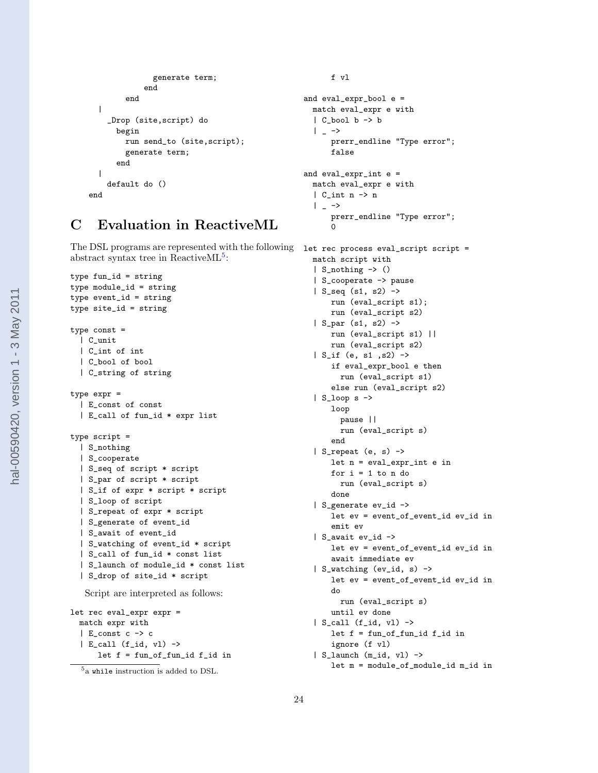```
generate term;
            end
        end
  |
    _Drop (site,script) do
      begin
        run send_to (site,script);
        generate term;
      end
  |
    default do ()
end
```
# C Evaluation in ReactiveML

The DSL programs are represented with the following let rec process eval\_script script = abstract syntax tree in ReactiveML<sup>5</sup>:

```
type fun_id = string
type module_id = string
type event_id = string
type site_id = string
type const =
 | C_unit
 | C_int of int
 | C_bool of bool
 | C_string of string
type expr =
 | E_const of const
  | E_call of fun_id * expr list
type script =
 | S_nothing
  | S_cooperate
  | S_seq of script * script
  | S_par of script * script
  | S_if of expr * script * script
  | S_loop of script
  | S_repeat of expr * script
  | S_generate of event_id
  | S_await of event_id
  | S_watching of event_id * script
  | S_call of fun_id * const list
  | S_launch of module_id * const list
  | S_drop of site_id * script
```
Script are interpreted as follows:

```
let rec eval_expr expr =
 match expr with
  | E_const c -> c
  | E_call (f_id, vl) ->
     let f = fun_of_fun_id f_id in
```

```
f vl
```

```
and eval_expr_bool e =
 match eval_expr e with
  | C_bool b -> b
  | - ->
      prerr_endline "Type error";
      false
and eval_expr_int e =
  match eval_expr e with
  | C_int n -> n
  | \rightarrowprerr_endline "Type error";
      \Omega
```
match script with | S\_nothing -> () | S\_cooperate -> pause  $|$  S\_seq (s1, s2)  $\rightarrow$ run (eval\_script s1); run (eval\_script s2) | S\_par (s1, s2) -> run (eval\_script s1) || run (eval\_script s2) | S\_if (e, s1 ,s2) -> if eval\_expr\_bool e then run (eval\_script s1) else run (eval\_script s2) | S\_loop s -> loop pause || run (eval\_script s) end | S\_repeat (e, s) -> let n = eval\_expr\_int e in for i = 1 to n do run (eval\_script s) done | S\_generate ev\_id -> let ev = event\_of\_event\_id ev\_id in emit ev | S\_await ev\_id -> let ev = event\_of\_event\_id ev\_id in await immediate ev | S\_watching (ev\_id, s) -> let ev = event\_of\_event\_id ev\_id in do run (eval\_script s) until ev done | S\_call (f\_id, vl) -> let f = fun\_of\_fun\_id f\_id in ignore (f vl)

| S\_launch (m\_id, vl) -> let m = module\_of\_module\_id m\_id in

<sup>5</sup>a while instruction is added to DSL.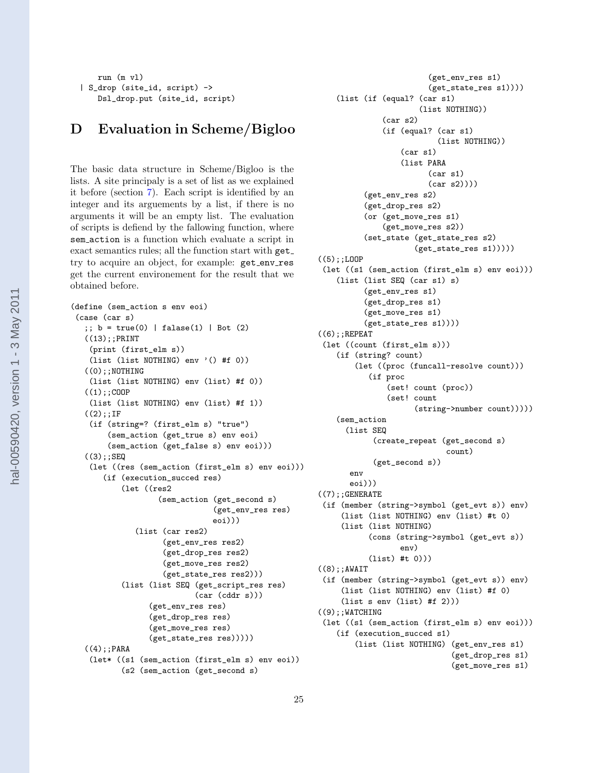```
run (m vl)
| S_drop (site_id, script) ->
   Dsl_drop.put (site_id, script)
```
# D Evaluation in Scheme/Bigloo

The basic data structure in Scheme/Bigloo is the lists. A site principaly is a set of list as we explained it before (section [7\)](#page-15-0). Each script is identified by an integer and its arguements by a list, if there is no arguments it will be an empty list. The evaluation of scripts is defiend by the fallowing function, where sem action is a function which evaluate a script in exact semantics rules; all the function start with get try to acquire an object, for example:  $get_env\_res$ get the current environement for the result that we obtained before.

```
(define (sem_action s env eoi)
(case (car s)
  ;; b = true(0) | falase(1) | Bot (2)
  ((13);;PRINT(print (first_elm s))
    (list (list NOTHING) env '() #f 0))
  ((0);;NOTHING)(list (list NOTHING) env (list) #f 0))
  ((1);;COOP
    (list (list NOTHING) env (list) #f 1))
  ((2);; IF
   (if (string=? (first_elm s) "true")
        (sem_action (get_true s) env eoi)
        (sem_action (get_false s) env eoi)))
  (3);;SEQ(let ((res (sem_action (first_elm s) env eoi)))
       (if (execution_succed res)
           (let ((res2
                   (sem_action (get_second s)
                                (get_env_res res)
                               eoi)))
              (list (car res2)
                    (get_env_res res2)
                    (get_drop_res res2)
                    (get_move_res res2)
                    (get_state_res res2)))
           (list (list SEQ (get_script_res res)
                           (car (cddr s)))
                 (get_env_res res)
                 (get_drop_res res)
                 (get_move_res res)
                 (get_state_res res)))))
  (4);; PARA
    (let* ((s1 (sem_action (first_elm s) env eoi))
           (s2 (sem_action (get_second s)
```
(get\_env\_res s1) (get\_state\_res s1)))) (list (if (equal? (car s1) (list NOTHING)) (car s2) (if (equal? (car s1) (list NOTHING)) (car s1) (list PARA (car s1) (car s2)))) (get\_env\_res s2) (get\_drop\_res s2) (or (get\_move\_res s1) (get\_move\_res s2)) (set\_state (get\_state\_res s2) (get\_state\_res s1)))))  $( (5);;L00P)$ (let ((s1 (sem\_action (first\_elm s) env eoi))) (list (list SEQ (car s1) s) (get\_env\_res s1) (get\_drop\_res s1) (get\_move\_res s1) (get\_state\_res s1))))  $(6);;REPEAT$ (let ((count (first\_elm s))) (if (string? count) (let ((proc (funcall-resolve count))) (if proc (set! count (proc)) (set! count (string->number count))))) (sem\_action (list SEQ (create\_repeat (get\_second s) count) (get\_second s)) env eoi)))  $((7);;$ GENERATE (if (member (string->symbol (get\_evt s)) env) (list (list NOTHING) env (list) #t 0) (list (list NOTHING) (cons (string->symbol (get\_evt s)) env) (list) #t 0)))  $( (8);; A W A I T$ (if (member (string->symbol (get\_evt s)) env) (list (list NOTHING) env (list) #f 0)  $(list s env (list) #f 2)))$  $((9);$ ; WATCHING (let ((s1 (sem\_action (first\_elm s) env eoi))) (if (execution\_succed s1) (list (list NOTHING) (get\_env\_res s1) (get\_drop\_res s1) (get\_move\_res s1)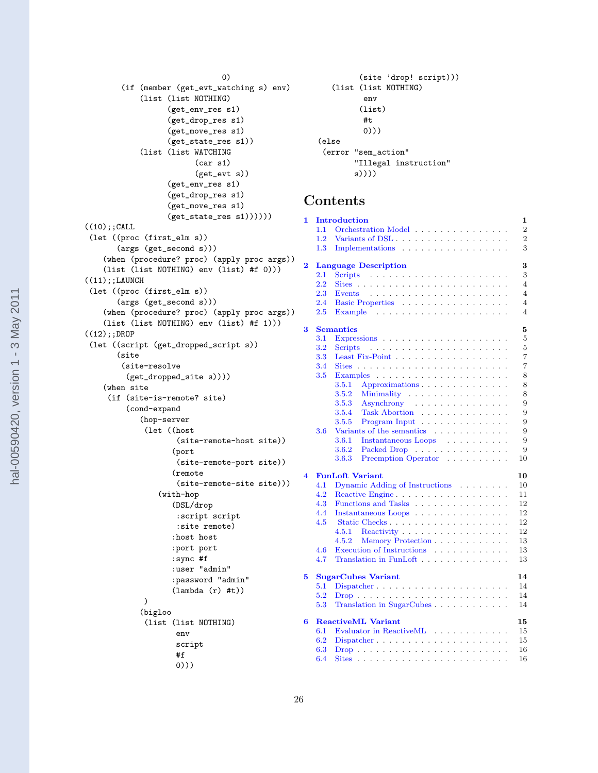```
0)
        (if (member (get_evt_watching s) env)
            (list (list NOTHING)
                  (get_env_res s1)
                  (get_drop_res s1)
                  (get_move_res s1)
                  (get_state_res s1))
            (list (list WATCHING
                        (car s1)
                         (get_evt s))
                  (get_env_res s1)
                  (get_drop_res s1)
                  (get_move_res s1)
                  (get\_state\_res s1))))))((10);;CALL(let ((proc (first_elm s))
       (args (get_second s)))
    (when (procedure? proc) (apply proc args))
    (list (list NOTHING) env (list) #f 0)))
((11);:LAUNCH)(let ((proc (first_elm s))
       (args (get_second s)))
    (when (procedure? proc) (apply proc args))
    (list (list NOTHING) env (list) #f 1)))
(12);;DROP
 (let ((script (get_dropped_script s))
       (site
        (site-resolve
         (get_dropped_site s))))
    (when site
     (if (site-is-remote? site)
         (cond-expand
            (hop-server
             (let ((host
                    (site-remote-host site))
                   (port
                     (site-remote-port site))
                   (remote
                     (site-remote-site site)))
                (with-hop
                   (DSL/drop
                    :script script
                    :site remote)
                   :host host
                   :port port
                   :sync #f
                   :user "admin"
                   :password "admin"
                   (lambda (r) #t))
             \lambda(bigloo
             (list (list NOTHING)
                    env
                    script
                    #f
                    0)))
```

```
(site 'drop! script)))
   (list (list NOTHING)
          env
         (list)
          #t
          0)))
(else
 (error "sem_action"
        "Illegal instruction"
        s))))
```
# Contents

| 1           |         | <b>Introduction</b>                                                                | 1              |  |  |  |  |
|-------------|---------|------------------------------------------------------------------------------------|----------------|--|--|--|--|
|             | 1.1     | Orchestration Model                                                                | $\overline{2}$ |  |  |  |  |
|             | 1.2     |                                                                                    | $\overline{2}$ |  |  |  |  |
|             | 1.3     | Implementations                                                                    | 3              |  |  |  |  |
| $\mathbf 2$ |         | 3<br><b>Language Description</b>                                                   |                |  |  |  |  |
|             | 2.1     |                                                                                    | 3              |  |  |  |  |
|             | 2.2     |                                                                                    | $\overline{4}$ |  |  |  |  |
|             | 2.3     | Events                                                                             | $\overline{4}$ |  |  |  |  |
|             | 2.4     | Basic Properties                                                                   | $\overline{4}$ |  |  |  |  |
|             | 2.5     |                                                                                    | $\overline{4}$ |  |  |  |  |
| 3           |         | <b>Semantics</b>                                                                   | 5              |  |  |  |  |
|             | 3.1     |                                                                                    | 5              |  |  |  |  |
|             | 3.2     | Scripts                                                                            | 5              |  |  |  |  |
|             | 3.3     | Least Fix-Point $\ldots$ , $\ldots$ , $\ldots$                                     | 7              |  |  |  |  |
|             | 3.4     |                                                                                    | $\overline{7}$ |  |  |  |  |
|             | $3.5\,$ | Examples $\ldots \ldots \ldots \ldots \ldots \ldots \ldots$                        | 8              |  |  |  |  |
|             |         | 3.5.1<br>Approximations                                                            | 8              |  |  |  |  |
|             |         | 3.5.2<br>Minimality                                                                | 8              |  |  |  |  |
|             |         | 3.5.3<br>Asynchrony                                                                | 9              |  |  |  |  |
|             |         | 3.5.4<br>Task Abortion                                                             | 9              |  |  |  |  |
|             |         | 3.5.5<br>$Program Input \dots \dots \dots$                                         | 9              |  |  |  |  |
|             | 3.6     | Variants of the semantics                                                          | 9              |  |  |  |  |
|             |         | 3.6.1<br>Instantaneous Loops                                                       | 9              |  |  |  |  |
|             |         | 3.6.2<br>Packed Drop                                                               | 9              |  |  |  |  |
|             |         | Preemption Operator<br>3.6.3                                                       | 10             |  |  |  |  |
| 4           |         | <b>FunLoft Variant</b>                                                             | 10             |  |  |  |  |
|             | 4.1     | Dynamic Adding of Instructions                                                     | 10             |  |  |  |  |
|             | 4.2     |                                                                                    | 11             |  |  |  |  |
|             | 4.3     | Functions and Tasks                                                                | 12             |  |  |  |  |
|             | 4.4     | ${\bf Instantaneous\,\, Loops}\,\, \ldots\, \ldots\, \ldots\, \ldots\, \ldots\, .$ | 12             |  |  |  |  |
|             | 4.5     | Static Checks                                                                      | 12             |  |  |  |  |
|             |         | 4.5.1<br>$Reactivity \ldots \ldots \ldots \ldots \ldots$                           | 12             |  |  |  |  |
|             |         | Memory Protection<br>4.5.2                                                         | 13             |  |  |  |  |
|             | 4.6     | Execution of Instructions                                                          | 13             |  |  |  |  |
|             | 4.7     | Translation in FunLoft                                                             | 13             |  |  |  |  |
| 5           |         | <b>SugarCubes Variant</b>                                                          | 14             |  |  |  |  |
|             | 5.1     |                                                                                    | 14             |  |  |  |  |
|             | 5.2     | $Drop \dots \dots \dots \dots \dots \dots \dots \dots \dots \dots$                 | 14             |  |  |  |  |
|             | 5.3     |                                                                                    | 14             |  |  |  |  |
| 6           |         | <b>ReactiveML Variant</b>                                                          | 15             |  |  |  |  |
|             | 6.1     | Evaluator in ReactiveML                                                            | 15             |  |  |  |  |
|             | 6.2     |                                                                                    | 15             |  |  |  |  |
|             | 6.3     | $Drop \ldots \ldots \ldots \ldots \ldots \ldots \ldots$                            | 16             |  |  |  |  |
|             | 6.4     |                                                                                    | 16             |  |  |  |  |